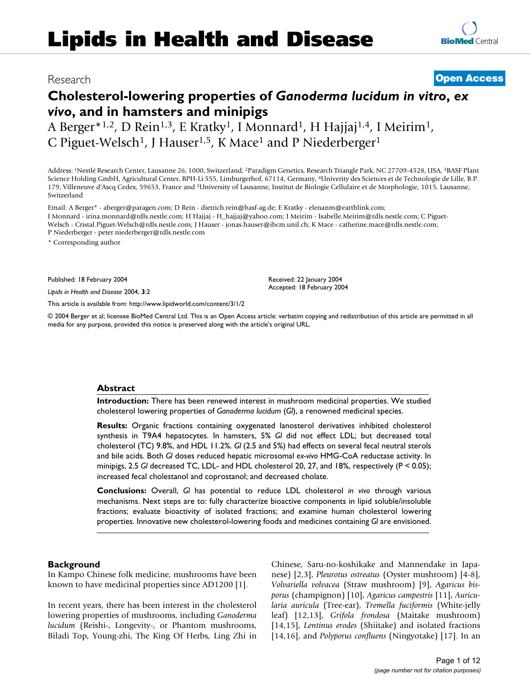# Research **[Open Access](http://www.biomedcentral.com/info/about/charter/)**

**[BioMed](http://www.biomedcentral.com/)** Central

# **Cholesterol-lowering properties of** *Ganoderma lucidum in vitro***,** *ex vivo***, and in hamsters and minipigs**

A Berger<sup>\*1,2</sup>, D Rein<sup>1,3</sup>, E Kratky<sup>1</sup>, I Monnard<sup>1</sup>, H Hajjaj<sup>1,4</sup>, I Meirim<sup>1</sup>, C Piguet-Welsch<sup>1</sup>, J Hauser<sup>1,5</sup>, K Mace<sup>1</sup> and P Niederberger<sup>1</sup>

Address: 1Nestlé Research Center, Lausanne 26, 1000, Switzerland, 2Paradigm Genetics, Research Triangle Park, NC 27709-4528, USA, 3BASF Plant Science Holding GmbH, Agricultural Center, BPH-Li 555, Limburgerhof, 67114, Germany, 4Univerity des Sciences et de Technologie de Lille, B.P. 179, Villeneuve d'Ascq Cedex, 59653, France and 5University of Lausanne, Institut de Biologie Cellulaire et de Morphologie, 1015, Lausanne, Switzerland

Email: A Berger\* - aberger@paragen.com; D Rein - dietrich.rein@basf-ag.de; E Kratky - elenanm@earthlink.com; I Monnard - irina.monnard@rdls.nestle.com; H Hajjaj - H\_hajjaj@yahoo.com; I Meirim - Isabelle.Meirim@rdls.nestle.com; C Piguet-Welsch - Cristal.Piguet-Welsch@rdls.nestle.com; J Hauser - jonas.hauser@ibcm.unil.ch; K Mace - catherine.mace@rdls.nestle.com; P Niederberger - peter.niederberger@rdls.nestle.com

\* Corresponding author

Published: 18 February 2004

*Lipids in Health and Disease* 2004, **3**:2

[This article is available from: http://www.lipidworld.com/content/3/1/2](http://www.lipidworld.com/content/3/1/2)

© 2004 Berger et al; licensee BioMed Central Ltd. This is an Open Access article: verbatim copying and redistribution of this article are permitted in all media for any purpose, provided this notice is preserved along with the article's original URL.

Received: 22 January 2004 Accepted: 18 February 2004

#### **Abstract**

**Introduction:** There has been renewed interest in mushroom medicinal properties. We studied cholesterol lowering properties of *Ganoderma lucidum* (*Gl*), a renowned medicinal species.

**Results:** Organic fractions containing oxygenated lanosterol derivatives inhibited cholesterol synthesis in T9A4 hepatocytes. In hamsters, 5% *Gl* did not effect LDL; but decreased total cholesterol (TC) 9.8%, and HDL 11.2%. *Gl* (2.5 and 5%) had effects on several fecal neutral sterols and bile acids. Both *Gl* doses reduced hepatic microsomal *ex-vivo* HMG-CoA reductase activity. In minipigs, 2.5 *Gl* decreased TC, LDL- and HDL cholesterol 20, 27, and 18%, respectively (P < 0.05); increased fecal cholestanol and coprostanol; and decreased cholate.

**Conclusions:** Overall, *Gl* has potential to reduce LDL cholesterol *in vivo* through various mechanisms. Next steps are to: fully characterize bioactive components in lipid soluble/insoluble fractions; evaluate bioactivity of isolated fractions; and examine human cholesterol lowering properties. Innovative new cholesterol-lowering foods and medicines containing *Gl* are envisioned.

#### **Background**

In Kampo Chinese folk medicine, mushrooms have been known to have medicinal properties since AD1200 [1].

In recent years, there has been interest in the cholesterol lowering properties of mushrooms, including *Ganoderma lucidum* (Reishi-, Longevity-, or Phantom mushrooms, Biladi Top, Young-zhi, The King Of Herbs, Ling Zhi in Chinese, Saru-no-koshikake and Mannendake in Japanese) [\[2,](#page-9-0)3], *Pleurotus ostreatus* (Oyster mushroom) [4-8], *Volvariella volvacea* (Straw mushroom) [9], *Agaricus bisporus* (champignon) [[10\]](#page-9-1), *Agaricus campestris* [[11](#page-9-2)], *Auricularia auricula* (Tree-ear), *Tremella fuciformis* (White-jelly leaf) [12,[13](#page-9-3)], *Grifola frondosa* (Maitake mushroom) [[14](#page-9-4),15], *Lentinus erodes* (Shiitake) and isolated fractions [[14](#page-9-4),16], and *Polyporus confluens* (Ningyotake) [[17](#page-9-5)]. In an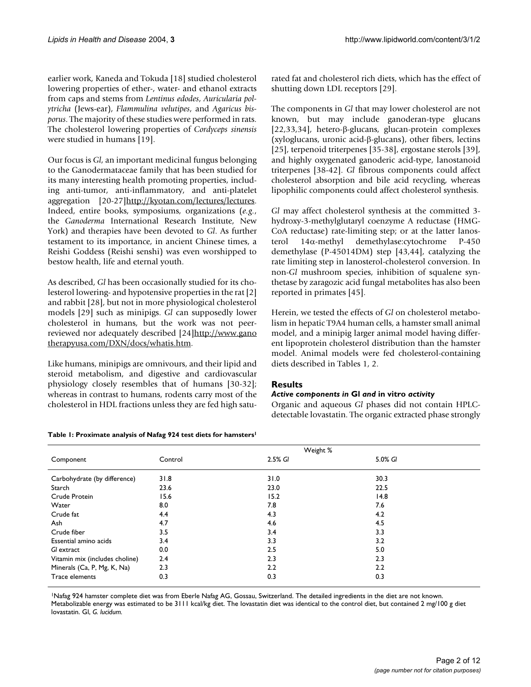earlier work, Kaneda and Tokuda [18] studied cholesterol lowering properties of ether-, water- and ethanol extracts from caps and stems from *Lentinus edodes*, *Auricularia polytricha* (Jews-ear), *Flammulina velutipes*, and *Agaricus bisporus*. The majority of these studies were performed in rats. The cholesterol lowering properties of *Cordyceps sinensis* were studied in humans [19].

Our focus is *Gl*, an important medicinal fungus belonging to the Ganodermataceae family that has been studied for its many interesting health promoting properties, including anti-tumor, anti-inflammatory, and anti-platelet aggregation [\[20](#page-9-6)-27][http://kyotan.com/lectures/lectures.](http://kyotan.com/lectures/lectures) Indeed, entire books, symposiums, organizations (*e.g.*, the *Ganoderma* International Research Institute, New York) and therapies have been devoted to *Gl*. As further testament to its importance, in ancient Chinese times, a Reishi Goddess (Reishi senshi) was even worshipped to bestow health, life and eternal youth.

As described, *Gl* has been occasionally studied for its cholesterol lowering- and hypotensive properties in the rat [\[2\]](#page-9-0) and rabbit [\[28](#page-9-7)], but not in more physiological cholesterol models [29] such as minipigs. *Gl* can supposedly lower cholesterol in humans, but the work was not peerreviewed nor adequately described [24[\]http://www.gano](http://www.ganotherapyusa.com/DXN/docs/whatis.htm) [therapyusa.com/DXN/docs/whatis.htm](http://www.ganotherapyusa.com/DXN/docs/whatis.htm).

Like humans, minipigs are omnivours, and their lipid and steroid metabolism, and digestive and cardiovascular physiology closely resembles that of humans [30-32]; whereas in contrast to humans, rodents carry most of the cholesterol in HDL fractions unless they are fed high satu-

**Table 1: Proximate analysis of Nafag 924 test diets for hamsters1**

rated fat and cholesterol rich diets, which has the effect of shutting down LDL receptors [29].

The components in *Gl* that may lower cholesterol are not known, but may include ganoderan-type glucans [22,[33,](#page-9-8)[34](#page-9-9)], hetero-β-glucans, glucan-protein complexes (xyloglucans, uronic acid-β-glucans), other fibers, lectins [25], terpenoid triterpenes [35-38], ergostane sterols [39], and highly oxygenated ganoderic acid-type, lanostanoid triterpenes [38-[42\]](#page-10-0). *Gl* fibrous components could affect cholesterol absorption and bile acid recycling, whereas lipophilic components could affect cholesterol synthesis.

*Gl* may affect cholesterol synthesis at the committed 3 hydroxy-3-methylglutaryl coenzyme A reductase (HMG-CoA reductase) rate-limiting step; or at the latter lanosterol 14α-methyl demethylase:cytochrome P-450 demethylase (P-45014DM) step [43,44], catalyzing the rate limiting step in lanosterol-cholesterol conversion. In non-*Gl* mushroom species, inhibition of squalene synthetase by zaragozic acid fungal metabolites has also been reported in primates [45].

Herein, we tested the effects of *Gl* on cholesterol metabolism in hepatic T9A4 human cells, a hamster small animal model, and a minipig larger animal model having different lipoprotein cholesterol distribution than the hamster model. Animal models were fed cholesterol-containing diets described in Tables 1, 2.

# **Results**

#### *Active components in* **Gl** *and* **in vitro** *activity*

Organic and aqueous *Gl* phases did not contain HPLCdetectable lovastatin. The organic extracted phase strongly

|                                |         |            | Weight % |
|--------------------------------|---------|------------|----------|
| Component                      | Control | $2.5\%$ GI | 5.0% GI  |
|                                |         |            |          |
| Carbohydrate (by difference)   | 31.8    | 31.0       | 30.3     |
| Starch                         | 23.6    | 23.0       | 22.5     |
| Crude Protein                  | 15.6    | 15.2       | 14.8     |
| Water                          | 8.0     | 7.8        | 7.6      |
| Crude fat                      | 4.4     | 4.3        | 4.2      |
| Ash                            | 4.7     | 4.6        | 4.5      |
| Crude fiber                    | 3.5     | 3.4        | 3.3      |
| Essential amino acids          | 3.4     | 3.3        | 3.2      |
| GI extract                     | 0.0     | 2.5        | 5.0      |
| Vitamin mix (includes choline) | 2.4     | 2.3        | 2.3      |
| Minerals (Ca, P, Mg, K, Na)    | 2.3     | 2.2        | 2.2      |
| Trace elements                 | 0.3     | 0.3        | 0.3      |

1Nafag 924 hamster complete diet was from Eberle Nafag AG, Gossau, Switzerland. The detailed ingredients in the diet are not known. Metabolizable energy was estimated to be 3111 kcal/kg diet. The lovastatin diet was identical to the control diet, but contained 2 mg/100 g diet lovastatin. Gl, *G. lucidum.*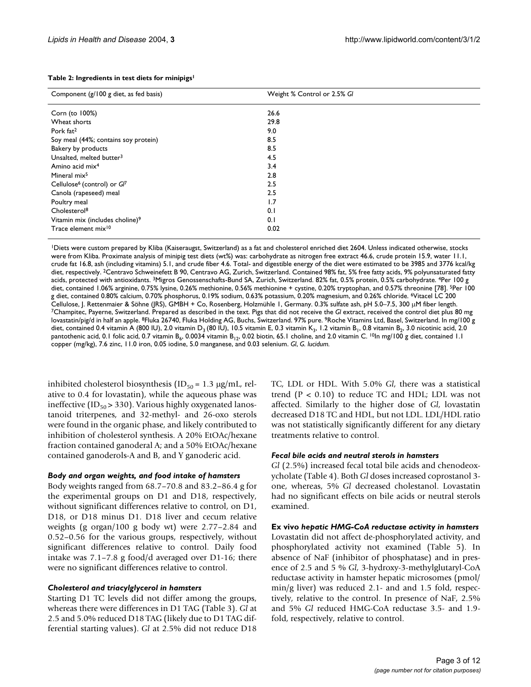| Component (g/100 g diet, as fed basis)              | Weight % Control or 2.5% GI |
|-----------------------------------------------------|-----------------------------|
| Corn (to 100%)                                      | 26.6                        |
| Wheat shorts                                        | 29.8                        |
| Pork fat <sup>2</sup>                               | 9.0                         |
| Soy meal (44%; contains soy protein)                | 8.5                         |
| Bakery by products                                  | 8.5                         |
| Unsalted, melted butter <sup>3</sup>                | 4.5                         |
| Amino acid mix <sup>4</sup>                         | 3.4                         |
| Mineral mix <sup>5</sup>                            | 2.8                         |
| Cellulose <sup>6</sup> (control) or GI <sup>7</sup> | 2.5                         |
| Canola (rapeseed) meal                              | 2.5                         |
| Poultry meal                                        | 1.7                         |
| Cholesterol <sup>8</sup>                            | 0.1                         |
| Vitamin mix (includes choline) <sup>9</sup>         | 0.1                         |
| Trace element mix <sup>10</sup>                     | 0.02                        |

1Diets were custom prepared by Kliba (Kaiseraugst, Switzerland) as a fat and cholesterol enriched diet 2604. Unless indicated otherwise, stocks were from Kliba. Proximate analysis of minipig test diets (wt%) was: carbohydrate as nitrogen free extract 46.6, crude protein 15.9, water 11.1, crude fat 16.8, ash (including vitamins) 5.1, and crude fiber 4.6. Total- and digestible energy of the diet were estimated to be 3985 and 3776 kcal/kg diet, respectively. 2Centravo Schweinefett B 90, Centravo AG, Zurich, Switzerland. Contained 98% fat, 5% free fatty acids, 9% polyunsaturated fatty acids, protected with antioxidants. 3Migros Genossenschafts-Bund SA, Zurich, Switzerland. 82% fat, 0.5% protein, 0.5% carbohydrate. 4Per 100 g diet, contained 1.06% arginine, 0.75% lysine, 0.26% methionine, 0.56% methionine + cystine, 0.20% tryptophan, and 0.57% threonine [78]. 5Per 100 g diet, contained 0.80% calcium, 0.70% phosphorus, 0.19% sodium, 0.63% potassium, 0.20% magnesium, and 0.26% chloride. <sup>6</sup>Vitacel LC 200<br>Cellulose, J. Rettenmaier & Söhne (JRS), GMBH + Co, Rosenberg, Holzmühle 1, Germany. 7Champitec, Payerne, Switzerland. Prepared as described in the text. Pigs that did not receive the GI extract, received the control diet plus 80 mg lovastatin/pig/d in half an apple. <sup>8</sup>Fluka 26740, Fluka Holding AG, Buchs, Switzerland. 97% pure. <sup>9</sup>Roche Vitamins Ltd, Basel, Switzerland. In mg/100 g diet, contained 0.4 vitamin A (800 IU), 2.0 vitamin D<sub>3</sub> (80 IU), 10.5 vitamin E, 0.3 vitamin K<sub>3</sub>, 1.2 vitamin B<sub>1</sub>, 0.8 vitamin B<sub>2</sub>, 3.0 nicotinic acid, 2.0 pantothenic acid, 0.1 folic acid, 0.7 vitamin B<sub>6</sub>, 0.0034 vitamin B<sub>12</sub>, 0.02 biotin, 65.1 choline, and 2.0 vitamin C. <sup>10</sup>In mg/100 g diet, contained 1.1 copper (mg/kg), 7.6 zinc, 11.0 iron, 0.05 iodine, 5.0 manganese, and 0.03 selenium. *Gl*, *G. lucidum.*

inhibited cholesterol biosynthesis (ID<sub>50</sub> = 1.3  $\mu$ g/mL, relative to 0.4 for lovastatin), while the aqueous phase was ineffective (ID<sub>50</sub> > 330). Various highly oxygenated lanostanoid triterpenes, and 32-methyl- and 26-oxo sterols were found in the organic phase, and likely contributed to inhibition of cholesterol synthesis. A 20% EtOAc/hexane fraction contained ganoderal A; and a 50% EtOAc/hexane contained ganoderols-A and B, and Y ganoderic acid.

# *Body and organ weights, and food intake of hamsters*

Body weights ranged from 68.7–70.8 and 83.2–86.4 g for the experimental groups on D1 and D18, respectively, without significant differences relative to control, on D1, D18, or D18 minus D1. D18 liver and cecum relative weights (g organ/100 g body wt) were 2.77–2.84 and 0.52–0.56 for the various groups, respectively, without significant differences relative to control. Daily food intake was 7.1–7.8 g food/d averaged over D1-16; there were no significant differences relative to control.

#### *Cholesterol and triacylglycerol in hamsters*

Starting D1 TC levels did not differ among the groups, whereas there were differences in D1 TAG (Table [3](#page-3-0)). *Gl* at 2.5 and 5.0% reduced D18 TAG (likely due to D1 TAG differential starting values). *Gl* at 2.5% did not reduce D18

TC, LDL or HDL. With 5.0% *Gl*, there was a statistical trend  $(P < 0.10)$  to reduce TC and HDL; LDL was not affected. Similarly to the higher dose of *Gl*, lovastatin decreased D18 TC and HDL, but not LDL. LDL/HDL ratio was not statistically significantly different for any dietary treatments relative to control.

#### *Fecal bile acids and neutral sterols in hamsters*

*Gl* (2.5%) increased fecal total bile acids and chenodeoxycholate (Table [4\)](#page-3-1). Both *Gl* doses increased coprostanol 3 one, whereas, 5% *Gl* decreased cholestanol. Lovastatin had no significant effects on bile acids or neutral sterols examined.

#### **Ex vivo** *hepatic HMG-CoA reductase activity in hamsters*

Lovastatin did not affect de-phosphorylated activity, and phosphorylated activity not examined (Table [5\)](#page-3-2). In absence of NaF (inhibitor of phosphatase) and in presence of 2.5 and 5 % *Gl*, 3-hydroxy-3-methylglutaryl-CoA reductase activity in hamster hepatic microsomes (pmol/ min/g liver) was reduced 2.1- and and 1.5 fold, respectively, relative to the control. In presence of NaF, 2.5% and 5% *Gl* reduced HMG-CoA reductase 3.5- and 1.9 fold, respectively, relative to control.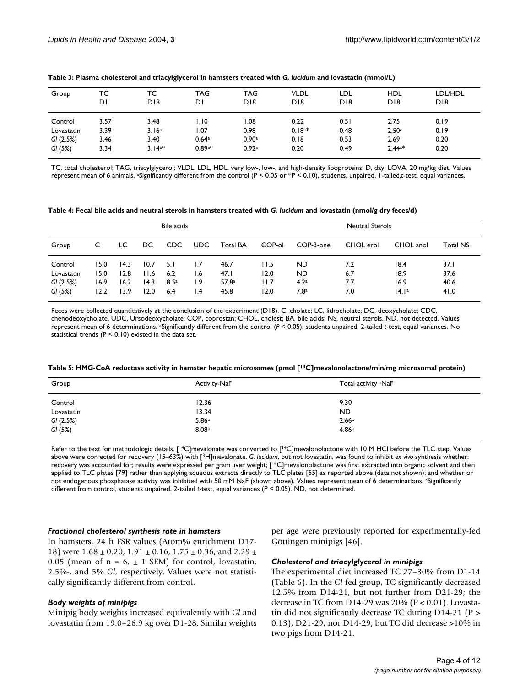| Group      | тс<br>DΙ | тс<br>D <sub>18</sub> | TAG<br>DΙ | <b>TAG</b><br>D <sub>18</sub> | <b>VLDL</b><br><b>D18</b> | LDL<br>D18 | <b>HDL</b><br>D <sub>18</sub> | LDL/HDL<br>D <sub>18</sub> |
|------------|----------|-----------------------|-----------|-------------------------------|---------------------------|------------|-------------------------------|----------------------------|
| Control    | 3.57     | 3.48                  | I.IO      | 1.08                          | 0.22                      | 0.51       | 2.75                          | 0.19                       |
| Lovastatin | 3.39     | 3.16 <sup>a</sup>     | l.07      | 0.98                          | $0.18^{a*}$               | 0.48       | 2.50 <sup>a</sup>             | 0.19                       |
| GI(2.5%)   | 3.46     | 3.40                  | 0.64a     | 0.90a                         | 0.18                      | 0.53       | 2.69                          | 0.20                       |
| GI(5%)     | 3.34     | $3.14a*$              | $0.89a*$  | 0.92 <sup>a</sup>             | 0.20                      | 0.49       | $2.44a*$                      | 0.20                       |

<span id="page-3-0"></span>**Table 3: Plasma cholesterol and triacylglycerol in hamsters treated with** *G. lucidum* **and lovastatin (mmol/L)**

TC, total cholesterol; TAG, triacylglycerol; VLDL, LDL, HDL, very low-, low-, and high-density lipoproteins; D, day; LOVA, 20 mg/kg diet. Values represent mean of 6 animals. aSignificantly different from the control (P < 0.05 or \*P < 0.10), students, unpaired, 1-tailed,*t*-test, equal variances.

<span id="page-3-1"></span>**Table 4: Fecal bile acids and neutral sterols in hamsters treated with** *G. lucidum* **and lovastatin (nmol/g dry feces/d)**

|            | Bile acids |      |      |      |            |                   |        |                  | <b>Neutral Sterols</b> |                    |          |
|------------|------------|------|------|------|------------|-------------------|--------|------------------|------------------------|--------------------|----------|
| Group      |            | LC   | DC.  | CDC. | <b>UDC</b> | <b>Total BA</b>   | COP-ol | COP-3-one        | CHOL erol              | CHOL anol          | Total NS |
| Control    | 15.0       | 14.3 | 10.7 | 5. I | l.7        | 46.7              | 11.5   | ND.              | 7.2                    | 18.4               | 37.I     |
| Lovastatin | 15.0       | 12.8 | 11.6 | 6.2  | 1.6        | 47.1              | 12.0   | ND.              | 6.7                    | 18.9               | 37.6     |
| GI(2.5%)   | 16.9       | 16.2 | 14.3 | 8.5a | 1.9        | 57.8 <sup>a</sup> | 11.7   | 4.2 <sup>a</sup> | 7.7                    | 16.9               | 40.6     |
| GI (5%)    | 12.2       | 3.9  | 12.0 | 6.4  | ، 4        | 45.8              | 12.0   | 7.8 <sup>a</sup> | 7.0                    | $[4]$ <sup>a</sup> | 41.0     |

Feces were collected quantitatively at the conclusion of the experiment (D18). C, cholate; LC, lithocholate; DC, deoxycholate; CDC, chenodeoxycholate, UDC, Ursodeoxycholate; COP, coprostan; CHOL, cholest; BA, bile acids; NS, neutral sterols. ND, not detected. Values represent mean of 6 determinations. aSignificantly different from the control (*P* < 0.05), students unpaired, 2-tailed *t*-test, equal variances. No statistical trends  $(P < 0.10)$  existed in the data set.

<span id="page-3-2"></span>

| Table 5: HMG-CoA reductase activity in hamster hepatic microsomes (pmol [ <sup>14</sup> C]mevalonolactone/min/mg microsomal protein) |  |  |  |  |  |  |
|--------------------------------------------------------------------------------------------------------------------------------------|--|--|--|--|--|--|
|--------------------------------------------------------------------------------------------------------------------------------------|--|--|--|--|--|--|

| Group      | Activity-NaF      | Total activity+NaF |
|------------|-------------------|--------------------|
| Control    | 12.36             | 9.30               |
| Lovastatin | 13.34             | <b>ND</b>          |
| GI (2.5%)  | 5.86a             | 2.66a              |
| GI (5%)    | 8.08 <sup>a</sup> | 4.86 <sup>a</sup>  |

Refer to the text for methodologic details. [14C]mevalonate was converted to [14C]mevalonolactone with 10 M HCl before the TLC step. Values above were corrected for recovery (15–63%) with [3H]mevalonate. *G. lucidum*, but not lovastatin, was found to inhibit *ex vivo* synthesis whether: recovery was accounted for; results were expressed per gram liver weight; [14C]mevalonolactone was first extracted into organic solvent and then applied to TLC plates [79] rather than applying aqueous extracts directly to TLC plates [55] as reported above (data not shown); and whether or not endogenous phosphatase activity was inhibited with 50 mM NaF (shown above). Values represent mean of 6 determinations. <sup>a</sup>Significantly different from control, students unpaired, 2-tailed *t*-test, equal variances (P < 0.05). ND, not determined.

#### *Fractional cholesterol synthesis rate in hamsters*

In hamsters, 24 h FSR values (Atom% enrichment D17- 18) were 1.68 ± 0.20, 1.91 ± 0.16, 1.75 ± 0.36, and 2.29 ± 0.05 (mean of  $n = 6$ ,  $\pm$  1 SEM) for control, lovastatin, 2.5%-, and 5% *Gl*, respectively. Values were not statistically significantly different from control.

#### *Body weights of minipigs*

Minipig body weights increased equivalently with *Gl* and lovastatin from 19.0–26.9 kg over D1-28. Similar weights per age were previously reported for experimentally-fed Göttingen minipigs [46].

#### *Cholesterol and triacylglycerol in minipigs*

The experimental diet increased TC 27–30% from D1-14 (Table [6](#page-4-0)). In the *Gl*-fed group, TC significantly decreased 12.5% from D14-21, but not further from D21-29; the decrease in TC from D14-29 was  $20\%$  (P < 0.01). Lovastatin did not significantly decrease TC during D14-21 (P > 0.13), D21-29, nor D14-29; but TC did decrease >10% in two pigs from D14-21.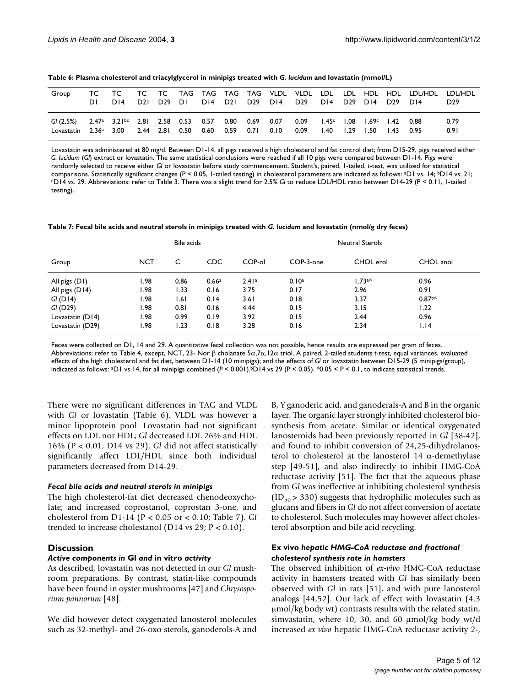| Group                                                                                                                                                                                                             |  |  |  |  | DI4 D2I D29 DI DI4 D2I D29 DI4 D29 DI4 D29 DI4 D29 DI4 |                          |  | TC TC TC TC TAG TAG TAG TAG YLDL VLDL LDL LDL HDL HDL LDL/HDL LDL/HDL | D <sub>29</sub> |
|-------------------------------------------------------------------------------------------------------------------------------------------------------------------------------------------------------------------|--|--|--|--|--------------------------------------------------------|--------------------------|--|-----------------------------------------------------------------------|-----------------|
| GI (2.5%) 2.47 <sup>a</sup> 3.21 <sup>bc</sup> 2.81 2.58 0.53 0.57 0.80 0.69 0.07 0.09 1.45 <sup>c</sup> 1.08 1.69 <sup>c</sup> 1.42 0.88<br>Lovastatin 2.36 <sup>a</sup> 3.00 2.44 2.81 0.50 0.60 0.59 0.71 0.10 |  |  |  |  | 0.09                                                   | 1.40 1.29 1.50 1.43 0.95 |  |                                                                       | 0.79<br>0.91    |

<span id="page-4-0"></span>**Table 6: Plasma cholesterol and triacylglycerol in minipigs treated with** *G. lucidum* **and lovastatin (mmol/L)**

Lovastatin was administered at 80 mg/d. Between D1-14, all pigs received a high cholesterol and fat control diet; from D15-29, pigs received either *G. lucidum* (*Gl*) extract or lovastatin. The same statistical conclusions were reached if all 10 pigs were compared between D1-14. Pigs were randomly selected to receive either *GI* or lovastatin before study commencement. Student's, paired, 1-tailed, *t*-test, was utilized for statistical comparisons. Statistically significant changes (P < 0.05, 1-tailed testing) in cholesterol parameters are indicated as follows: <sup>a</sup>D1 vs. 14; <sup>b</sup>D14 vs. 21;<br><sup>c</sup>D14 vs. 29. Abbreviations: refer to Table [3](#page-3-0). There was a slig testing).

<span id="page-4-1"></span>**Table 7: Fecal bile acids and neutral sterols in minipigs treated with** *G. lucidum* **and lovastatin (nmol/g dry feces)**

| Group            |            | Bile acids |            |        | <b>Neutral Sterols</b> |           |                   |
|------------------|------------|------------|------------|--------|------------------------|-----------|-------------------|
|                  | <b>NCT</b> | C          | <b>CDC</b> | COP-ol | COP-3-one              | CHOL erol | CHOL anol         |
| All pigs (D1)    | 1.98       | 0.86       | 0.66a      | 2.41a  | 0.10 <sup>a</sup>      | $1.73a*$  | 0.96              |
| All pigs (D14)   | 1.98       | 1.33       | 0.16       | 3.75   | 0.17                   | 2.96      | 0.91              |
| $GI$ (D14)       | 1.98       | I.61       | 0.14       | 3.61   | 0.18                   | 3.37      | 0.87 <sup>b</sup> |
| GI(D29)          | 1.98       | 0.81       | 0.16       | 4.44   | 0.15                   | 3.15      | 1.22              |
| Lovastatin (D14) | 1.98       | 0.99       | 0.19       | 3.92   | 0.15                   | 2.44      | 0.96              |
| Lovastatin (D29) | 1.98       | l.23       | 0.18       | 3.28   | 0.16                   | 2.34      | 1.14              |

Feces were collected on D1, 14 and 29. A quantitative fecal collection was not possible, hence results are expressed per gram of feces. Abbreviations: refer to Table [4,](#page-3-1) except, NCT, 23- Nor β cholanate 5α,7α,12α triol. A paired, 2-tailed students *t*-test, equal variances, evaluated effects of the high cholesterol and fat diet, between D1-14 (10 minipigs); and the effects of *Gl* or lovastatin between D15-29 (5 minipigs/group), indicated as follows: aD1 vs 14, for all minipigs combined (*P* < 0.001).bD14 vs 29 (P < 0.05). \*0.05 < P < 0.1, to indicate statistical trends.

There were no significant differences in TAG and VLDL with *Gl* or lovastatin (Table [6](#page-4-0)). VLDL was however a minor lipoprotein pool. Lovastatin had not significant effects on LDL nor HDL; *Gl* decreased LDL 26% and HDL 16% (P < 0.01; D14 vs 29). *Gl* did not affect statistically significantly affect LDL/HDL since both individual parameters decreased from D14-29.

#### *Fecal bile acids and neutral sterols in minipigs*

The high cholesterol-fat diet decreased chenodeoxycholate; and increased coprostanol, coprostan 3-one, and cholesterol from D1-14 (P < 0.05 or < 0.10; Table [7](#page-4-1)). *Gl* trended to increase cholestanol (D14 vs 29; P < 0.10).

#### **Discussion**

#### *Active components in* **Gl** *and* **in vitro** *activity*

As described, lovastatin was not detected in our *Gl* mushroom preparations. By contrast, statin-like compounds have been found in oyster mushrooms [\[47](#page-10-1)] and *Chrysosporium pannorum* [48].

We did however detect oxygenated lanosterol molecules such as 32-methyl- and 26-oxo sterols, ganoderols-A and B, Y ganoderic acid, and ganoderals-A and B in the organic layer. The organic layer strongly inhibited cholesterol biosynthesis from acetate. Similar or identical oxygenated lanosteroids had been previously reported in *Gl* [38[-42](#page-10-0)], and found to inhibit conversion of 24,25-dihydrolanosterol to cholesterol at the lanosterol 14 α-demethylase step [49-51], and also indirectly to inhibit HMG-CoA reductase activity [51]. The fact that the aqueous phase from *Gl* was ineffective at inhibiting cholesterol synthesis  $(ID_{50} > 330)$  suggests that hydrophilic molecules such as glucans and fibers in *Gl* do not affect conversion of acetate to cholesterol. Such molecules may however affect cholesterol absorption and bile acid recycling.

# **Ex vivo** *hepatic HMG-CoA reductase and fractional cholesterol synthesis rate in hamsters*

The observed inhibition of *ex-vivo* HMG-CoA reductase activity in hamsters treated with *Gl* has similarly been observed with *Gl* in rats [51], and with pure lanosterol analogs [44,52]. Our lack of effect with lovastatin (4.3 µmol/kg body wt) contrasts results with the related statin, simvastatin, where 10, 30, and 60 µmol/kg body wt/d increased *ex-vivo* hepatic HMG-CoA reductase activity 2-,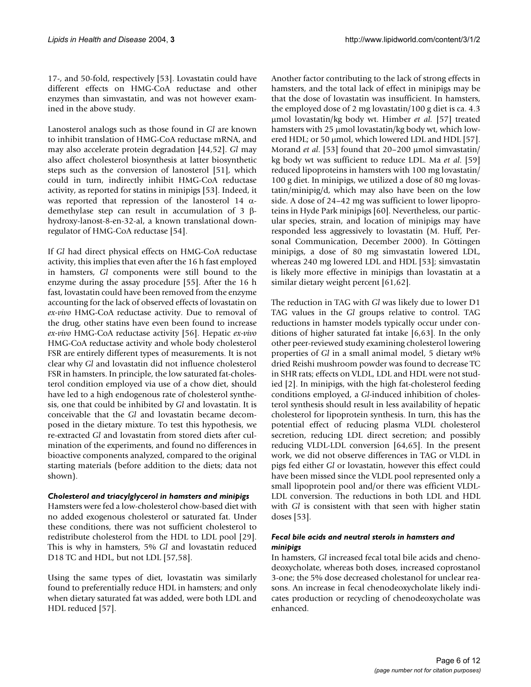17-, and 50-fold, respectively [53]. Lovastatin could have different effects on HMG-CoA reductase and other enzymes than simvastatin, and was not however examined in the above study.

Lanosterol analogs such as those found in *Gl* are known to inhibit translation of HMG-CoA reductase mRNA, and may also accelerate protein degradation [44,52]. *Gl* may also affect cholesterol biosynthesis at latter biosynthetic steps such as the conversion of lanosterol [51], which could in turn, indirectly inhibit HMG-CoA reductase activity, as reported for statins in minipigs [53]. Indeed, it was reported that repression of the lanosterol 14  $\alpha$ demethylase step can result in accumulation of 3 βhydroxy-lanost-8-en-32-al, a known translational downregulator of HMG-CoA reductase [54].

If *Gl* had direct physical effects on HMG-CoA reductase activity, this implies that even after the 16 h fast employed in hamsters, *Gl* components were still bound to the enzyme during the assay procedure [55]. After the 16 h fast, lovastatin could have been removed from the enzyme accounting for the lack of observed effects of lovastatin on *ex-vivo* HMG-CoA reductase activity. Due to removal of the drug, other statins have even been found to increase *ex-vivo* HMG-CoA reductase activity [56]. Hepatic *ex-vivo* HMG-CoA reductase activity and whole body cholesterol FSR are entirely different types of measurements. It is not clear why *Gl* and lovastatin did not influence cholesterol FSR in hamsters. In principle, the low saturated fat-cholesterol condition employed via use of a chow diet, should have led to a high endogenous rate of cholesterol synthesis, one that could be inhibited by *Gl* and lovastatin. It is conceivable that the *Gl* and lovastatin became decomposed in the dietary mixture. To test this hypothesis, we re-extracted *Gl* and lovastatin from stored diets after culmination of the experiments, and found no differences in bioactive components analyzed, compared to the original starting materials (before addition to the diets; data not shown).

# *Cholesterol and triacylglycerol in hamsters and minipigs*

Hamsters were fed a low-cholesterol chow-based diet with no added exogenous cholesterol or saturated fat. Under these conditions, there was not sufficient cholesterol to redistribute cholesterol from the HDL to LDL pool [29]. This is why in hamsters, 5% *Gl* and lovastatin reduced D18 TC and HDL, but not LDL [57,58].

Using the same types of diet, lovastatin was similarly found to preferentially reduce HDL in hamsters; and only when dietary saturated fat was added, were both LDL and HDL reduced [57].

Another factor contributing to the lack of strong effects in hamsters, and the total lack of effect in minipigs may be that the dose of lovastatin was insufficient. In hamsters, the employed dose of 2 mg lovastatin/100 g diet is ca. 4.3 µmol lovastatin/kg body wt. Himber *et al.* [57] treated hamsters with 25 µmol lovastatin/kg body wt, which lowered HDL; or 50 µmol, which lowered LDL and HDL [57]. Morand *et al.* [53] found that 20–200 µmol simvastatin/ kg body wt was sufficient to reduce LDL. Ma *et al*. [59] reduced lipoproteins in hamsters with 100 mg lovastatin/ 100 g diet. In minipigs, we utilized a dose of 80 mg lovastatin/minipig/d, which may also have been on the low side. A dose of 24–42 mg was sufficient to lower lipoproteins in Hyde Park minipigs [60]. Nevertheless, our particular species, strain, and location of minipigs may have responded less aggressively to lovastatin (M. Huff, Personal Communication, December 2000). In Göttingen minipigs, a dose of 80 mg simvastatin lowered LDL, whereas 240 mg lowered LDL and HDL [53]; simvastatin is likely more effective in minipigs than lovastatin at a similar dietary weight percent [61,62].

The reduction in TAG with *Gl* was likely due to lower D1 TAG values in the *Gl* groups relative to control. TAG reductions in hamster models typically occur under conditions of higher saturated fat intake [[6](#page-9-10),63]. In the only other peer-reviewed study examining cholesterol lowering properties of *Gl* in a small animal model, 5 dietary wt% dried Reishi mushroom powder was found to decrease TC in SHR rats; effects on VLDL, LDL and HDL were not studied [\[2\]](#page-9-0). In minipigs, with the high fat-cholesterol feeding conditions employed, a *Gl*-induced inhibition of cholesterol synthesis should result in less availability of hepatic cholesterol for lipoprotein synthesis. In turn, this has the potential effect of reducing plasma VLDL cholesterol secretion, reducing LDL direct secretion; and possibly reducing VLDL-LDL conversion [64,65]. In the present work, we did not observe differences in TAG or VLDL in pigs fed either *Gl* or lovastatin, however this effect could have been missed since the VLDL pool represented only a small lipoprotein pool and/or there was efficient VLDL-LDL conversion. The reductions in both LDL and HDL with *Gl* is consistent with that seen with higher statin doses [53].

# *Fecal bile acids and neutral sterols in hamsters and minipigs*

In hamsters, *Gl* increased fecal total bile acids and chenodeoxycholate, whereas both doses, increased coprostanol 3-one; the 5% dose decreased cholestanol for unclear reasons. An increase in fecal chenodeoxycholate likely indicates production or recycling of chenodeoxycholate was enhanced.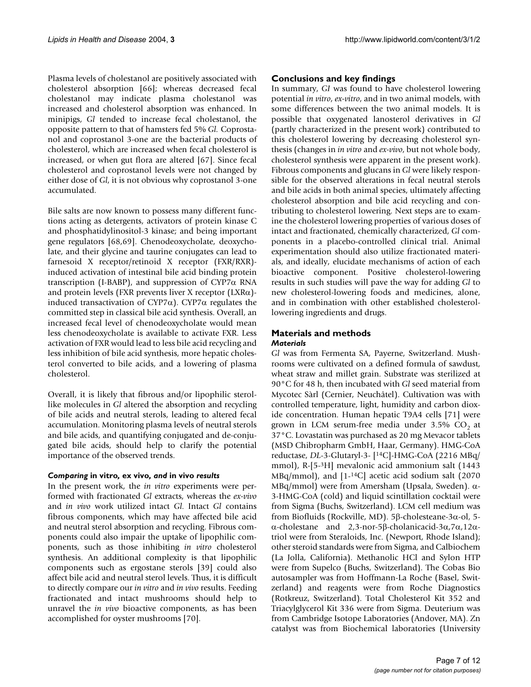Plasma levels of cholestanol are positively associated with cholesterol absorption [66]; whereas decreased fecal cholestanol may indicate plasma cholestanol was increased and cholesterol absorption was enhanced. In minipigs, *Gl* tended to increase fecal cholestanol, the opposite pattern to that of hamsters fed 5% *Gl.* Coprostanol and coprostanol 3-one are the bacterial products of cholesterol, which are increased when fecal cholesterol is increased, or when gut flora are altered [67]. Since fecal cholesterol and coprostanol levels were not changed by either dose of *Gl*, it is not obvious why coprostanol 3-one accumulated.

Bile salts are now known to possess many different functions acting as detergents, activators of protein kinase C and phosphatidylinositol-3 kinase; and being important gene regulators [68,69]. Chenodeoxycholate, deoxycholate, and their glycine and taurine conjugates can lead to farnesoid X receptor/retinoid X receptor (FXR/RXR) induced activation of intestinal bile acid binding protein transcription (I-BABP), and suppression of CYP7α RNA and protein levels (FXR prevents liver X receptor ( $LXR\alpha$ )induced transactivation of CYP7 $α$ ). CYP7 $α$  regulates the committed step in classical bile acid synthesis. Overall, an increased fecal level of chenodeoxycholate would mean less chenodeoxycholate is available to activate FXR. Less activation of FXR would lead to less bile acid recycling and less inhibition of bile acid synthesis, more hepatic cholesterol converted to bile acids, and a lowering of plasma cholesterol.

Overall, it is likely that fibrous and/or lipophilic sterollike molecules in *Gl* altered the absorption and recycling of bile acids and neutral sterols, leading to altered fecal accumulation. Monitoring plasma levels of neutral sterols and bile acids, and quantifying conjugated and de-conjugated bile acids, should help to clarify the potential importance of the observed trends.

#### *Comparing* **in vitro***,* **ex vivo***, and* **in vivo** *results*

In the present work, the *in vitro* experiments were performed with fractionated *Gl* extracts, whereas the *ex-vivo* and *in vivo* work utilized intact *Gl*. Intact *Gl* contains fibrous components, which may have affected bile acid and neutral sterol absorption and recycling. Fibrous components could also impair the uptake of lipophilic components, such as those inhibiting *in vitro* cholesterol synthesis. An additional complexity is that lipophilic components such as ergostane sterols [39] could also affect bile acid and neutral sterol levels. Thus, it is difficult to directly compare our *in vitro* and *in vivo* results. Feeding fractionated and intact mushrooms should help to unravel the *in vivo* bioactive components, as has been accomplished for oyster mushrooms [[70\]](#page-10-2).

### **Conclusions and key findings**

In summary, *GI* was found to have cholesterol lowering potential *in vitro*, *ex-vitro*, and in two animal models, with some differences between the two animal models. It is possible that oxygenated lanosterol derivatives in *Gl* (partly characterized in the present work) contributed to this cholesterol lowering by decreasing cholesterol synthesis (changes in *in vitro* and *ex-vivo*, but not whole body, cholesterol synthesis were apparent in the present work). Fibrous components and glucans in *Gl* were likely responsible for the observed alterations in fecal neutral sterols and bile acids in both animal species, ultimately affecting cholesterol absorption and bile acid recycling and contributing to cholesterol lowering. Next steps are to examine the cholesterol lowering properties of various doses of intact and fractionated, chemically characterized, *Gl* components in a placebo-controlled clinical trial. Animal experimentation should also utilize fractionated materials, and ideally, elucidate mechanisms of action of each bioactive component. Positive cholesterol-lowering results in such studies will pave the way for adding *Gl* to new cholesterol-lowering foods and medicines, alone, and in combination with other established cholesterollowering ingredients and drugs.

# **Materials and methods** *Materials*

*Gl* was from Fermenta SA, Payerne, Switzerland. Mushrooms were cultivated on a defined formula of sawdust, wheat straw and millet grain. Substrate was sterilized at 90°C for 48 h, then incubated with *Gl* seed material from Mycotec Sàrl (Cernier, Neuchâtel). Cultivation was with controlled temperature, light, humidity and carbon dioxide concentration. Human hepatic T9A4 cells [71] were grown in LCM serum-free media under  $3.5\%$  CO<sub>2</sub> at 37°C. Lovastatin was purchased as 20 mg Mevacor tablets (MSD Chibropharm GmbH, Haar, Germany). HMG-CoA reductase, *DL*-3-Glutaryl-3- [14C]-HMG-CoA (2216 MBq/ mmol), R-[5-3H] mevalonic acid ammonium salt (1443 MBq/mmol), and [1-14C] acetic acid sodium salt (2070 MBq/mmol) were from Amersham (Upsala, Sweden). α-3-HMG-CoA (cold) and liquid scintillation cocktail were from Sigma (Buchs, Switzerland). LCM cell medium was from Biofluids (Rockville, MD). 5β-cholesteane-3α-ol, 5 α-cholestane and 2,3-nor-5β-cholanicacid-3α,7α,12αtriol were from Steraloids, Inc. (Newport, Rhode Island); other steroid standards were from Sigma, and Calbiochem (La Jolla, California). Methanolic HCl and Sylon HTP were from Supelco (Buchs, Switzerland). The Cobas Bio autosampler was from Hoffmann-La Roche (Basel, Switzerland) and reagents were from Roche Diagnostics (Rotkreuz, Switzerland). Total Cholesterol Kit 352 and Triacylglycerol Kit 336 were from Sigma. Deuterium was from Cambridge Isotope Laboratories (Andover, MA). Zn catalyst was from Biochemical laboratories (University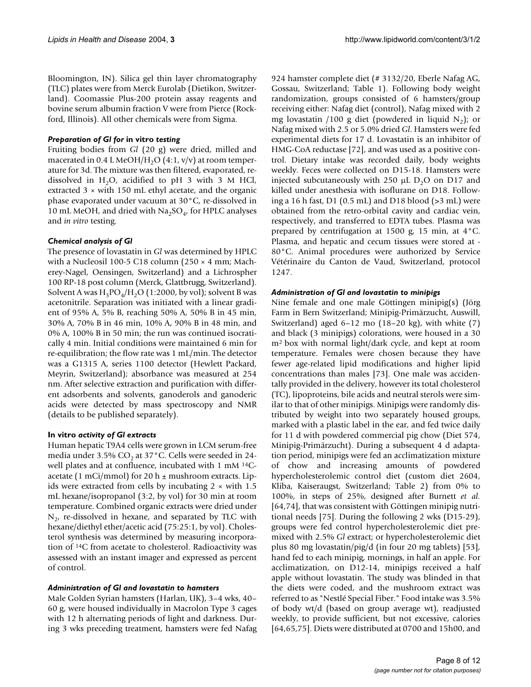Bloomington, IN). Silica gel thin layer chromatography (TLC) plates were from Merck Eurolab (Dietikon, Switzerland). Coomassie Plus-200 protein assay reagents and bovine serum albumin fraction V were from Pierce (Rockford, Illinois). All other chemicals were from Sigma.

# *Preparation of Gl for* **in vitro** *testing*

Fruiting bodies from *Gl* (20 g) were dried, milled and macerated in 0.4 L MeOH/H<sub>2</sub>O (4:1,  $v/v$ ) at room temperature for 3d. The mixture was then filtered, evaporated, redissolved in  $H_2O$ , acidified to pH 3 with 3 M HCl, extracted 3 × with 150 mL ethyl acetate, and the organic phase evaporated under vacuum at 30°C, re-dissolved in 10 mL MeOH, and dried with  $Na<sub>2</sub>SO<sub>4</sub>$ , for HPLC analyses and *in vitro* testing.

# *Chemical analysis of Gl*

The presence of lovastatin in *Gl* was determined by HPLC with a Nucleosil 100-5 C18 column (250 × 4 mm; Macherey-Nagel, Oensingen, Switzerland) and a Lichrospher 100 RP-18 post column (Merck, Glattbrugg, Switzerland). Solvent A was  $H_3PO_4/H_2O$  (1:2000, by vol); solvent B was acetonitrile. Separation was initiated with a linear gradient of 95% A, 5% B, reaching 50% A, 50% B in 45 min, 30% A, 70% B in 46 min, 10% A, 90% B in 48 min, and 0% A, 100% B in 50 min; the run was continued isocratically 4 min. Initial conditions were maintained 6 min for re-equilibration; the flow rate was 1 mL/min. The detector was a G1315 A, series 1100 detector (Hewlett Packard, Meyrin, Switzerland); absorbance was measured at 254 nm. After selective extraction and purification with different adsorbents and solvents, ganoderols and ganoderic acids were detected by mass spectroscopy and NMR (details to be published separately).

# **In vitro** *activity of Gl extracts*

Human hepatic T9A4 cells were grown in LCM serum-free media under 3.5%  $CO<sub>2</sub>$  at 37°C. Cells were seeded in 24well plates and at confluence, incubated with 1 mM 14Cacetate (1 mCi/mmol) for 20 h  $\pm$  mushroom extracts. Lipids were extracted from cells by incubating  $2 \times$  with 1.5 mL hexane/isopropanol (3:2, by vol) for 30 min at room temperature. Combined organic extracts were dried under  $N<sub>2</sub>$ , re-dissolved in hexane, and separated by TLC with hexane/diethyl ether/acetic acid (75:25:1, by vol). Cholesterol synthesis was determined by measuring incorporation of 14C from acetate to cholesterol. Radioactivity was assessed with an instant imager and expressed as percent of control.

# *Administration of Gl and lovastatin to hamsters*

Male Golden Syrian hamsters (Harlan, UK), 3–4 wks, 40– 60 g, were housed individually in Macrolon Type 3 cages with 12 h alternating periods of light and darkness. During 3 wks preceding treatment, hamsters were fed Nafag 924 hamster complete diet (# 3132/20, Eberle Nafag AG, Gossau, Switzerland; Table 1). Following body weight randomization, groups consisted of 6 hamsters/group receiving either: Nafag diet (control), Nafag mixed with 2 mg lovastatin /100 g diet (powdered in liquid  $N_2$ ); or Nafag mixed with 2.5 or 5.0% dried *Gl*. Hamsters were fed experimental diets for 17 d. Lovastatin is an inhibitor of HMG-CoA reductase [72], and was used as a positive control. Dietary intake was recorded daily, body weights weekly. Feces were collected on D15-18. Hamsters were injected subcutaneously with 250  $\mu$ L D<sub>2</sub>O on D17 and killed under anesthesia with isoflurane on D18. Following a 16 h fast,  $D1$  (0.5 mL) and D18 blood ( $>3$  mL) were obtained from the retro-orbital cavity and cardiac vein, respectively, and transferred to EDTA tubes. Plasma was prepared by centrifugation at 1500 g, 15 min, at 4°C. Plasma, and hepatic and cecum tissues were stored at - 80°C. Animal procedures were authorized by Service Vétérinaire du Canton de Vaud, Switzerland, protocol 1247.

# *Administration of Gl and lovastatin to minipigs*

Nine female and one male Göttingen minipig(s) (Jörg Farm in Bern Switzerland; Minipig-Primärzucht, Auswill, Switzerland) aged 6–12 mo (18–20 kg), with white (7) and black (3 minipigs) colorations, were housed in a 30 m2 box with normal light/dark cycle, and kept at room temperature. Females were chosen because they have fewer age-related lipid modifications and higher lipid concentrations than males [73]. One male was accidentally provided in the delivery, however its total cholesterol (TC), lipoproteins, bile acids and neutral sterols were similar to that of other minipigs. Minipigs were randomly distributed by weight into two separately housed groups, marked with a plastic label in the ear, and fed twice daily for 11 d with powdered commercial pig chow (Diet 574, Minipig-Primärzucht). During a subsequent 4 d adaptation period, minipigs were fed an acclimatization mixture of chow and increasing amounts of powdered hypercholesterolemic control diet (custom diet 2604, Kliba, Kaiseraugst, Switzerland; Table 2) from 0% to 100%, in steps of 25%, designed after Burnett *et al.* [64,74], that was consistent with Göttingen minipig nutritional needs [75]. During the following 2 wks (D15-29), groups were fed control hypercholesterolemic diet premixed with 2.5% *Gl* extract; or hypercholesterolemic diet plus 80 mg lovastatin/pig/d (in four 20 mg tablets) [53], hand fed to each minipig, mornings, in half an apple. For acclimatization, on D12-14, minipigs received a half apple without lovastatin. The study was blinded in that the diets were coded, and the mushroom extract was referred to as "Nestlé Special Fiber." Food intake was 3.5% of body wt/d (based on group average wt), readjusted weekly, to provide sufficient, but not excessive, calories [64,65,75]. Diets were distributed at 0700 and 15h00, and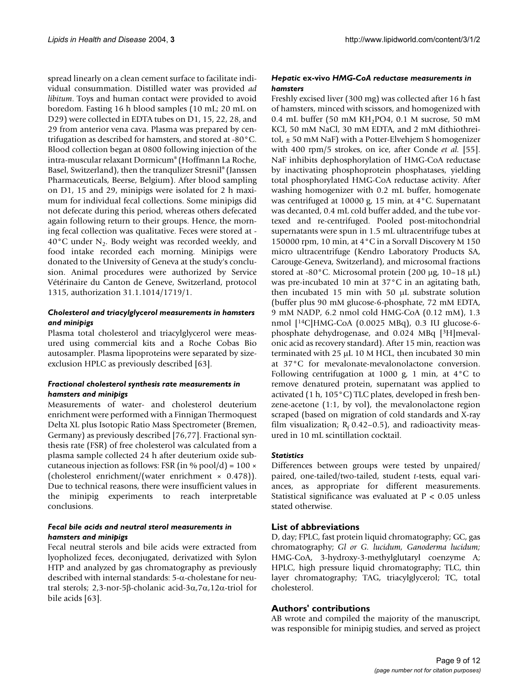spread linearly on a clean cement surface to facilitate individual consummation. Distilled water was provided *ad libitum*. Toys and human contact were provided to avoid boredom. Fasting 16 h blood samples (10 mL; 20 mL on D29) were collected in EDTA tubes on D1, 15, 22, 28, and 29 from anterior vena cava. Plasma was prepared by centrifugation as described for hamsters, and stored at -80°C. Blood collection began at 0800 following injection of the intra-muscular relaxant Dormicum® (Hoffmann La Roche, Basel, Switzerland), then the tranqulizer Stresnil® (Janssen Pharmaceuticals, Beerse, Belgium). After blood sampling on D1, 15 and 29, minipigs were isolated for 2 h maximum for individual fecal collections. Some minipigs did not defecate during this period, whereas others defecated again following return to their groups. Hence, the morning fecal collection was qualitative. Feces were stored at -  $40^{\circ}$ C under N<sub>2</sub>. Body weight was recorded weekly, and food intake recorded each morning. Minipigs were donated to the University of Geneva at the study's conclusion. Animal procedures were authorized by Service Vétérinaire du Canton de Geneve, Switzerland, protocol 1315, authorization 31.1.1014/1719/1.

### *Cholesterol and triacylglycerol measurements in hamsters and minipigs*

Plasma total cholesterol and triacylglycerol were measured using commercial kits and a Roche Cobas Bio autosampler. Plasma lipoproteins were separated by sizeexclusion HPLC as previously described [63].

# *Fractional cholesterol synthesis rate measurements in hamsters and minipigs*

Measurements of water- and cholesterol deuterium enrichment were performed with a Finnigan Thermoquest Delta XL plus Isotopic Ratio Mass Spectrometer (Bremen, Germany) as previously described [76,77]. Fractional synthesis rate (FSR) of free cholesterol was calculated from a plasma sample collected 24 h after deuterium oxide subcutaneous injection as follows: FSR (in % pool/d) =  $100 \times$ (cholesterol enrichment/(water enrichment × 0.478)). Due to technical reasons, there were insufficient values in the minipig experiments to reach interpretable conclusions.

# *Fecal bile acids and neutral sterol measurements in hamsters and minipigs*

Fecal neutral sterols and bile acids were extracted from lyopholized feces, deconjugated, derivatized with Sylon HTP and analyzed by gas chromatography as previously described with internal standards: 5-α-cholestane for neutral sterols; 2,3-nor-5β-cholanic acid-3α,7α,12α-triol for bile acids [63].

# *Hepatic* **ex-vivo** *HMG-CoA reductase measurements in hamsters*

Freshly excised liver (300 mg) was collected after 16 h fast of hamsters, minced with scissors, and homogenized with 0.4 mL buffer (50 mM  $KH_{2}PO4$ , 0.1 M sucrose, 50 mM KCl, 50 mM NaCl, 30 mM EDTA, and 2 mM dithiothreitol,  $\pm$  50 mM NaF) with a Potter-Elvehjem S homogenizer with 400 rpm/5 strokes, on ice, after Conde *et al.* [55]. NaF inhibits dephosphorylation of HMG-CoA reductase by inactivating phosphoprotein phosphatases, yielding total phosphorylated HMG-CoA reductase activity. After washing homogenizer with 0.2 mL buffer, homogenate was centrifuged at 10000 g, 15 min, at 4°C. Supernatant was decanted, 0.4 mL cold buffer added, and the tube vortexed and re-centrifuged. Pooled post-mitochondrial supernatants were spun in 1.5 mL ultracentrifuge tubes at 150000 rpm, 10 min, at 4°C in a Sorvall Discovery M 150 micro ultracentrifuge (Kendro Laboratory Products SA, Carouge-Geneva, Switzerland), and microsomal fractions stored at -80 $^{\circ}$ C. Microsomal protein (200 µg, 10–18 µL) was pre-incubated 10 min at 37°C in an agitating bath, then incubated 15 min with 50 µL substrate solution (buffer plus 90 mM glucose-6-phosphate, 72 mM EDTA, 9 mM NADP, 6.2 nmol cold HMG-CoA (0.12 mM), 1.3 nmol [14C]HMG-CoA (0.0025 MBq), 0.3 IU glucose-6 phosphate dehydrogenase, and 0.024 MBq [3H]mevalonic acid as recovery standard). After 15 min, reaction was terminated with  $25 \mu L$  10 M HCL, then incubated 30 min at 37°C for mevalonate-mevalonolactone conversion. Following centrifugation at 1000 g, 1 min, at  $4^{\circ}$ C to remove denatured protein, supernatant was applied to activated (1 h, 105°C) TLC plates, developed in fresh benzene-acetone (1:1, by vol), the mevalonolactone region scraped (based on migration of cold standards and X-ray film visualization;  $R_f$  0.42-0.5), and radioactivity measured in 10 mL scintillation cocktail.

# *Statistics*

Differences between groups were tested by unpaired/ paired, one-tailed/two-tailed, student *t*-tests, equal variances, as appropriate for different measurements. Statistical significance was evaluated at P < 0.05 unless stated otherwise.

# **List of abbreviations**

D, day; FPLC, fast protein liquid chromatography; GC, gas chromatography; *Gl or G. lucidum, Ganoderma lucidum;* HMG-CoA, 3-hydroxy-3-methylglutaryl coenzyme A; HPLC, high pressure liquid chromatography; TLC, thin layer chromatography; TAG, triacylglycerol; TC, total cholesterol.

# **Authors' contributions**

AB wrote and compiled the majority of the manuscript, was responsible for minipig studies, and served as project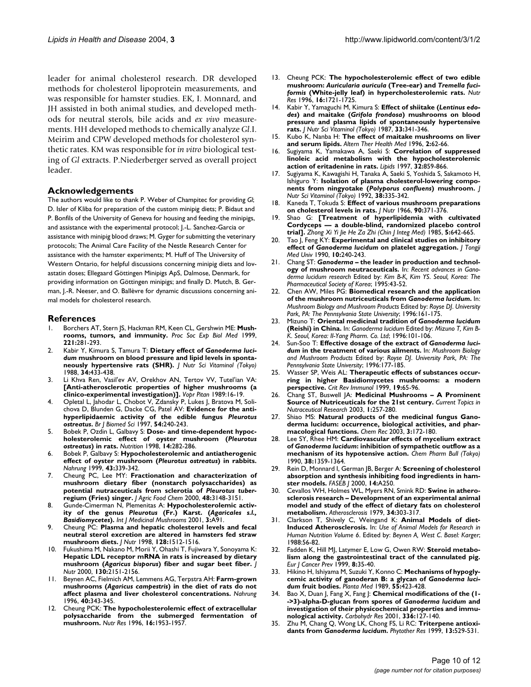leader for animal cholesterol research. DR developed methods for cholesterol lipoprotein measurements, and was responsible for hamster studies. EK, I. Monnard, and JH assisted in both animal studies, and developed methods for neutral sterols, bile acids and *ex vivo* measurements. HH developed methods to chemically analyze *Gl*.I. Meirim and CPW developed methods for cholesterol synthetic rates. KM was responsible for *in vitro* biological testing of *Gl* extracts. P.Niederberger served as overall project leader.

#### **Acknowledgements**

The authors would like to thank P. Weber of Champitec for providing *Gl*; D. Isler of Kliba for preparation of the custom minipig diets; P. Bidaut and P. Bonfils of the University of Geneva for housing and feeding the minipigs, and assistance with the experimental protocol; J.-L. Sanchez-Garcia or assistance with minipig blood draws; M. Gyger for submitting the veterinary protocols; The Animal Care Facility of the Nestle Research Center for assistance with the hamster experiments; M. Huff of The University of Western Ontario, for helpful discussions concerning minipig diets and lovastatin doses; Ellegaard Göttingen Minipigs ApS, Dalmose, Denmark, for providing information on Göttingen minipigs; and finally D. Mutch, B. German, J.-R. Neeser, and O. Ballèvre for dynamic discussions concerning animal models for cholesterol research.

#### **References**

- 1. Borchers AT, Stern JS, Hackman RM, Keen CL, Gershwin ME: **[Mush](http://www.ncbi.nlm.nih.gov/entrez/query.fcgi?cmd=Retrieve&db=PubMed&dopt=Abstract&list_uids=10.1046/j.1525-1373.1999.d01-86.x)[rooms, tumors, and immunity](http://www.ncbi.nlm.nih.gov/entrez/query.fcgi?cmd=Retrieve&db=PubMed&dopt=Abstract&list_uids=10.1046/j.1525-1373.1999.d01-86.x)[.](http://www.ncbi.nlm.nih.gov/entrez/query.fcgi?cmd=Retrieve&db=PubMed&dopt=Abstract&list_uids=10460691)** *Proc Soc Exp Biol Med* 1999, **221:**281-293.
- <span id="page-9-0"></span>2. Kabir Y, Kimura S, Tamura T: **Dietary effect of** *Ganoderma lucidum* **[mushroom on blood pressure and lipid levels in sponta](http://www.ncbi.nlm.nih.gov/entrez/query.fcgi?cmd=Retrieve&db=PubMed&dopt=Abstract&list_uids=3236086)[neously hypertensive rats \(SHR\).](http://www.ncbi.nlm.nih.gov/entrez/query.fcgi?cmd=Retrieve&db=PubMed&dopt=Abstract&list_uids=3236086)** *J Nutr Sci Vitaminol (Tokyo)* 1988, **34:**433-438.
- Li Khva Ren, Vasil'ev AV, Orekhov AN, Tertov VV, Tutel'ian VA: **[Anti-atherosclerotic properties of higher mushrooms (a clinico-experimental investigation)].** *Vopr Pitan* 1989:16-19.
- 4. Opletal L, Jahodar L, Chobot V, Zdansky P, Lukes J, Bratova M, Solichova D, Blunden G, Dacke CG, Patel AV: **Evidence for the antihyperlipidaemic activity of the edible fungus** *Pleurotus ostreatus***[.](http://www.ncbi.nlm.nih.gov/entrez/query.fcgi?cmd=Retrieve&db=PubMed&dopt=Abstract&list_uids=9624732)** *Br J Biomed Sci* 1997, **54:**240-243.
- 5. Bobek P, Ozdin L, Galbavy S: **Dose- and time-dependent hypocholesterolemic effect of oyster mushroom (***Pleurotus ostreatus***[\) in rats](http://www.ncbi.nlm.nih.gov/entrez/query.fcgi?cmd=Retrieve&db=PubMed&dopt=Abstract&list_uids=10.1016/S0899-9007(97)00471-1)[.](http://www.ncbi.nlm.nih.gov/entrez/query.fcgi?cmd=Retrieve&db=PubMed&dopt=Abstract&list_uids=9583372)** *Nutrition* 1998, **14:**282-286.
- <span id="page-9-10"></span>6. Bobek P, Galbavy S: **Hypocholesterolemic and antiatherogenic effect of oyster mushroom (***Pleurotus ostreatus***[\) in rabbits](http://www.ncbi.nlm.nih.gov/entrez/query.fcgi?cmd=Retrieve&db=PubMed&dopt=Abstract&list_uids=10.1002/(SICI)1521-3803(19991001)43:5<339::AID-FOOD339>3.3.CO;2-X)[.](http://www.ncbi.nlm.nih.gov/entrez/query.fcgi?cmd=Retrieve&db=PubMed&dopt=Abstract&list_uids=10555301)** *Nahrung* 1999, **43:**339-342.
- 7. Cheung PC, Lee MY: **Fractionation and characterization of mushroom dietary fiber (nonstarch polysaccharides) as potential nutraceuticals from sclerotia of** *Pleurotus tuber***[regium \(Fries\) singer](http://www.ncbi.nlm.nih.gov/entrez/query.fcgi?cmd=Retrieve&db=PubMed&dopt=Abstract&list_uids=10.1021/jf000382s)[.](http://www.ncbi.nlm.nih.gov/entrez/query.fcgi?cmd=Retrieve&db=PubMed&dopt=Abstract&list_uids=10956083)** *J Agric Food Chem* 2000, **48:**3148-3151.
- 8. Gunde-Cimerman N, Plemenitas A: **Hypocholesterolemic activity of the genus** *Pleurotus* **(Fr.) Karst. (***Agaricales s.l., Basidiomycetes***).** *Int J Medicinal Mushrooms* 2001, **3:**A91.
- 9. Cheung PC: **[Plasma and hepatic cholesterol levels and fecal](http://www.ncbi.nlm.nih.gov/entrez/query.fcgi?cmd=Retrieve&db=PubMed&dopt=Abstract&list_uids=9732312) [neutral sterol excretion are altered in hamsters fed straw](http://www.ncbi.nlm.nih.gov/entrez/query.fcgi?cmd=Retrieve&db=PubMed&dopt=Abstract&list_uids=9732312) [mushroom diets.](http://www.ncbi.nlm.nih.gov/entrez/query.fcgi?cmd=Retrieve&db=PubMed&dopt=Abstract&list_uids=9732312)** *J Nutr* 1998, **128:**1512-1516.
- <span id="page-9-1"></span>10. Fukushima M, Nakano M, Morii Y, Ohashi T, Fujiwara Y, Sonoyama K: **Hepatic LDL receptor mRNA in rats is increased by dietary mushroom (***Agaricus bisporus***[\) fiber and sugar beet fiber.](http://www.ncbi.nlm.nih.gov/entrez/query.fcgi?cmd=Retrieve&db=PubMed&dopt=Abstract&list_uids=10958806)** *J Nutr* 2000, **130:**2151-2156.
- <span id="page-9-2"></span>11. Beynen AC, Fielmich AM, Lemmens AG, Terpstra AH: **Farm-grown mushrooms (***Agaricus campestris***[\) in the diet of rats do not](http://www.ncbi.nlm.nih.gov/entrez/query.fcgi?cmd=Retrieve&db=PubMed&dopt=Abstract&list_uids=9008834) [affect plasma and liver cholesterol concentrations.](http://www.ncbi.nlm.nih.gov/entrez/query.fcgi?cmd=Retrieve&db=PubMed&dopt=Abstract&list_uids=9008834)** *Nahrung* 1996, **40:**343-345.
- 12. Cheung PCK: **[The hypocholesterolemic effect of extracellular](http://www.ncbi.nlm.nih.gov/entrez/query.fcgi?cmd=Retrieve&db=PubMed&dopt=Abstract&list_uids=10.1016/S0271-5317(96)00218-7) [polysaccharide from the submerged fermentation of](http://www.ncbi.nlm.nih.gov/entrez/query.fcgi?cmd=Retrieve&db=PubMed&dopt=Abstract&list_uids=10.1016/S0271-5317(96)00218-7) [mushroom.](http://www.ncbi.nlm.nih.gov/entrez/query.fcgi?cmd=Retrieve&db=PubMed&dopt=Abstract&list_uids=10.1016/S0271-5317(96)00218-7)** *Nutr Res* 1996, **16:**1953-1957.
- <span id="page-9-3"></span>13. Cheung PCK: **The hypocholesterolemic effect of two edible mushroom:** *Auricularia auricula* **(Tree-ear) and** *Tremella fuciformis* **[\(White-jelly leaf\) in hypercholesterolemic rats.](http://www.ncbi.nlm.nih.gov/entrez/query.fcgi?cmd=Retrieve&db=PubMed&dopt=Abstract&list_uids=10.1016/0271-5317(96)00191-1)** *Nutr Res* 1996, **16:**1721-1725.
- <span id="page-9-4"></span>14. Kabir Y, Yamaguchi M, Kimura S: **Effect of shiitake (***Lentinus edodes***) and maitake (***Grifola frondosa***[\) mushrooms on blood](http://www.ncbi.nlm.nih.gov/entrez/query.fcgi?cmd=Retrieve&db=PubMed&dopt=Abstract&list_uids=3443885) [pressure and plasma lipids of spontaneously hypertensive](http://www.ncbi.nlm.nih.gov/entrez/query.fcgi?cmd=Retrieve&db=PubMed&dopt=Abstract&list_uids=3443885) [rats.](http://www.ncbi.nlm.nih.gov/entrez/query.fcgi?cmd=Retrieve&db=PubMed&dopt=Abstract&list_uids=3443885)** *J Nutr Sci Vitaminol (Tokyo)* 1987, **33:**341-346.
- 15. Kubo K, Nanba H: **[The effect of maitake mushrooms on liver](http://www.ncbi.nlm.nih.gov/entrez/query.fcgi?cmd=Retrieve&db=PubMed&dopt=Abstract&list_uids=8795938) [and serum lipids.](http://www.ncbi.nlm.nih.gov/entrez/query.fcgi?cmd=Retrieve&db=PubMed&dopt=Abstract&list_uids=8795938)** *Altern Ther Health Med* 1996, **2:**62-66.
- 16. Sugiyama K, Yamakawa A, Saeki S: **[Correlation of suppressed](http://www.ncbi.nlm.nih.gov/entrez/query.fcgi?cmd=Retrieve&db=PubMed&dopt=Abstract&list_uids=9270978) [linoleic acid metabolism with the hypocholesterolemic](http://www.ncbi.nlm.nih.gov/entrez/query.fcgi?cmd=Retrieve&db=PubMed&dopt=Abstract&list_uids=9270978) [action of eritadenine in rats.](http://www.ncbi.nlm.nih.gov/entrez/query.fcgi?cmd=Retrieve&db=PubMed&dopt=Abstract&list_uids=9270978)** *Lipids* 1997, **32:**859-866.
- <span id="page-9-5"></span>17. Sugiyama K, Kawagishi H, Tanaka A, Saeki S, Yoshida S, Sakamoto H, Ishiguro Y: **Isolation of plasma cholesterol-lowering components from ningyotake (***Polyporus confluens***[\) mushroom.](http://www.ncbi.nlm.nih.gov/entrez/query.fcgi?cmd=Retrieve&db=PubMed&dopt=Abstract&list_uids=1291638)** *J Nutr Sci Vitaminol (Tokyo)* 1992, **38:**335-342.
- 18. Kaneda T, Tokuda S: **[Effect of various mushroom preparations](http://www.ncbi.nlm.nih.gov/entrez/query.fcgi?cmd=Retrieve&db=PubMed&dopt=Abstract&list_uids=6005929) [on cholesterol levels in rats.](http://www.ncbi.nlm.nih.gov/entrez/query.fcgi?cmd=Retrieve&db=PubMed&dopt=Abstract&list_uids=6005929)** *J Nutr* 1966, **90:**371-376.
- 19. Shao G: **[Treatment of hyperlipidemia with cultivated Cordyceps –– a double-blind, randomized placebo control trial].** *Zhong Xi Yi Jie He Za Zhi (Chin J Integ Med)* 1985, **5:**642-665.
- <span id="page-9-6"></span>20. Tao J, Feng KY: **Experimental and clinical studies on inhibitory effect of** *Ganoderma lucidum* **[on platelet aggregation.](http://www.ncbi.nlm.nih.gov/entrez/query.fcgi?cmd=Retrieve&db=PubMed&dopt=Abstract&list_uids=2098581)** *J Tongji Med Univ* 1990, **10:**240-243.
- 21. Chang ST: *Ganoderma*  **the leader in production and technology of mushroom neutraceuticals.** In: *Recent advances in Ganoderma lucidum research* Edited by: *Kim B-K, Kim YS*. *Seoul, Korea: The Pharmaceutical Society of Korea*; 1995:43-52.
- 22. Chen AW, Miles PG: **Biomedical research and the application of the mushroom nutriceuticals from** *Ganoderma lucidum***.** In: *Mushroom Biology and Mushroom Products* Edited by: *Royse DJ*. *University Park, PA: The Pennsylvania State University*; 1996:161-175.
- 23. Mizuno T: **Oriental medicinal tradition of** *Ganoderma lucidum* **(Reishi) in China.** In: *Ganoderma lucidum* Edited by: *Mizuno T, Kim B-K*. *Seoul, Korea: II-Yang Pharm. Co. Ltd*; 1996:101-106.
- 24. Sun-Soo T: **Effective dosage of the extract of** *Ganoderma lucidum* **in the treatment of various ailments.** In: *Mushroom Biology and Mushroom Products* Edited by: *Royse DJ*. *University Park, PA: The Pennsylvania State University*; 1996:177-185.
- 25. Wasser SP, Weis AL: **[Therapeutic effects of substances occur](http://www.ncbi.nlm.nih.gov/entrez/query.fcgi?cmd=Retrieve&db=PubMed&dopt=Abstract&list_uids=9987601)[ring in higher Basidiomycetes mushrooms: a modern](http://www.ncbi.nlm.nih.gov/entrez/query.fcgi?cmd=Retrieve&db=PubMed&dopt=Abstract&list_uids=9987601) [perspective.](http://www.ncbi.nlm.nih.gov/entrez/query.fcgi?cmd=Retrieve&db=PubMed&dopt=Abstract&list_uids=9987601)** *Crit Rev Immunol* 1999, **19:**65-96.
- 26. Chang ST, Buswell JA: **Medicinal Mushrooms A Prominent Source of Nutriceuticals for the 21st century.** *Current Topics in Nutraceutical Research* 2003, **1:**257-280.
- 27. Shiao MS: **[Natural products of the medicinal fungus Gano](http://www.ncbi.nlm.nih.gov/entrez/query.fcgi?cmd=Retrieve&db=PubMed&dopt=Abstract&list_uids=10.1002/tcr.10058)[derma lucidum: occurrence, biological activities, and phar](http://www.ncbi.nlm.nih.gov/entrez/query.fcgi?cmd=Retrieve&db=PubMed&dopt=Abstract&list_uids=10.1002/tcr.10058)[macological functions](http://www.ncbi.nlm.nih.gov/entrez/query.fcgi?cmd=Retrieve&db=PubMed&dopt=Abstract&list_uids=10.1002/tcr.10058)[.](http://www.ncbi.nlm.nih.gov/entrez/query.fcgi?cmd=Retrieve&db=PubMed&dopt=Abstract&list_uids=12900937)** *Chem Rec* 2003, **3:**172-180.
- <span id="page-9-7"></span>28. Lee SY, Rhee HM: **Cardiovascular effects of mycelium extract of** *Ganoderma lucidum***[: inhibition of sympathetic outflow as a](http://www.ncbi.nlm.nih.gov/entrez/query.fcgi?cmd=Retrieve&db=PubMed&dopt=Abstract&list_uids=2393962) [mechanism of its hypotensive action.](http://www.ncbi.nlm.nih.gov/entrez/query.fcgi?cmd=Retrieve&db=PubMed&dopt=Abstract&list_uids=2393962)** *Chem Pharm Bull (Tokyo)* 1990, **38:**1359-1364.
- 29. Rein D, Monnard I, German JB, Berger A: **Screening of cholesterol absorption and synthesis inhibiting food ingredients in hamster models.** *FASEB J* 2000, **14:**A250.
- 30. Cevallos WH, Holmes WL, Myers RN, Smink RD: **[Swine in athero](http://www.ncbi.nlm.nih.gov/entrez/query.fcgi?cmd=Retrieve&db=PubMed&dopt=Abstract&list_uids=518741)sclerosis research – Development of an experimental animal [model and study of the effect of dietary fats on cholesterol](http://www.ncbi.nlm.nih.gov/entrez/query.fcgi?cmd=Retrieve&db=PubMed&dopt=Abstract&list_uids=518741) [metabolism.](http://www.ncbi.nlm.nih.gov/entrez/query.fcgi?cmd=Retrieve&db=PubMed&dopt=Abstract&list_uids=518741)** *Atherosclerosis* 1979, **34:**303-317.
- 31. Clarkson T, Shively C, Weingand K: **Animal Models of diet-Induced Atherosclerosis.** In: *Use of Animal Models for Research in Human Nutrition Volume 6*. Edited by: *Beynen A, West C*. *Basel: Karger*; 1988:56-82.
- 32. Fadden K, Hill MJ, Latymer E, Low G, Owen RW: **[Steroid metabo](http://www.ncbi.nlm.nih.gov/entrez/query.fcgi?cmd=Retrieve&db=PubMed&dopt=Abstract&list_uids=10091041)[lism along the gastrointestinal tract of the cannulated pig.](http://www.ncbi.nlm.nih.gov/entrez/query.fcgi?cmd=Retrieve&db=PubMed&dopt=Abstract&list_uids=10091041)** *Eur J Cancer Prev* 1999, **8:**35-40.
- <span id="page-9-8"></span>33. Hikino H, Ishiyama M, Suzuki Y, Konno C: **Mechanisms of hypoglycemic activity of ganoderan B: a glycan of** *Ganoderma lucidum* **[fruit bodies.](http://www.ncbi.nlm.nih.gov/entrez/query.fcgi?cmd=Retrieve&db=PubMed&dopt=Abstract&list_uids=2682700)** *Planta Med* 1989, **55:**423-428.
- <span id="page-9-9"></span>34. Bao X, Duan J, Fang X, Fang J: **Chemical modifications of the (1- ->3)-alpha-D-glucan from spores of** *Ganoderma lucidum* **[and](http://www.ncbi.nlm.nih.gov/entrez/query.fcgi?cmd=Retrieve&db=PubMed&dopt=Abstract&list_uids=10.1016/S0008-6215(01)00238-5) [investigation of their physicochemical properties and immu](http://www.ncbi.nlm.nih.gov/entrez/query.fcgi?cmd=Retrieve&db=PubMed&dopt=Abstract&list_uids=10.1016/S0008-6215(01)00238-5)[nological activity](http://www.ncbi.nlm.nih.gov/entrez/query.fcgi?cmd=Retrieve&db=PubMed&dopt=Abstract&list_uids=10.1016/S0008-6215(01)00238-5)[.](http://www.ncbi.nlm.nih.gov/entrez/query.fcgi?cmd=Retrieve&db=PubMed&dopt=Abstract&list_uids=11689183)** *Carbohydr Res* 2001, **336:**127-140.
- 35. Zhu M, Chang Q, Wong LK, Chong FS, Li RC: **Triterpene antioxidants from** *Ganoderma lucidum***[.](http://www.ncbi.nlm.nih.gov/entrez/query.fcgi?cmd=Retrieve&db=PubMed&dopt=Abstract&list_uids=10479768)** *Phytother Res* 1999, **13:**529-531.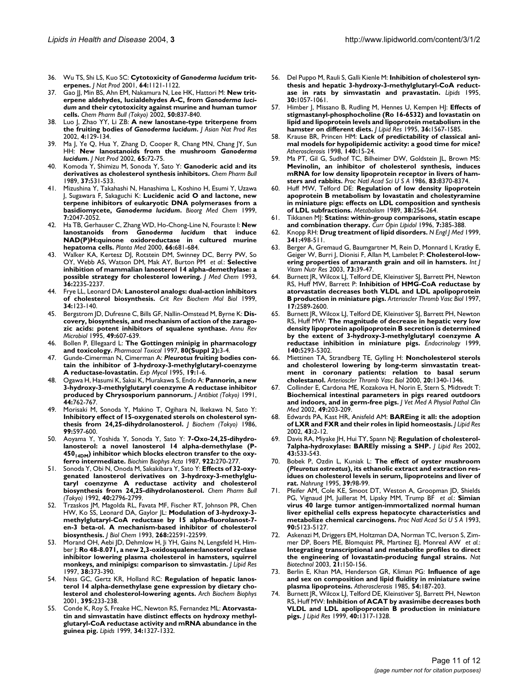- 36. Wu TS, Shi LS, Kuo SC: **Cytotoxicity of** *Ganoderma lucidum* **[trit](http://www.ncbi.nlm.nih.gov/entrez/query.fcgi?cmd=Retrieve&db=PubMed&dopt=Abstract&list_uids=10.1021/np010115w)[erpenes](http://www.ncbi.nlm.nih.gov/entrez/query.fcgi?cmd=Retrieve&db=PubMed&dopt=Abstract&list_uids=10.1021/np010115w)[.](http://www.ncbi.nlm.nih.gov/entrez/query.fcgi?cmd=Retrieve&db=PubMed&dopt=Abstract&list_uids=11520245)** *J Nat Prod* 2001, **64:**1121-1122.
- 37. Gao JJ, Min BS, Ahn EM, Nakamura N, Lee HK, Hattori M: **New triterpene aldehydes, lucialdehydes A-C, from** *Ganoderma lucidum* **[and their cytotoxicity against murine and human tumor](http://www.ncbi.nlm.nih.gov/entrez/query.fcgi?cmd=Retrieve&db=PubMed&dopt=Abstract&list_uids=10.1248/cpb.50.837) [cells](http://www.ncbi.nlm.nih.gov/entrez/query.fcgi?cmd=Retrieve&db=PubMed&dopt=Abstract&list_uids=10.1248/cpb.50.837)[.](http://www.ncbi.nlm.nih.gov/entrez/query.fcgi?cmd=Retrieve&db=PubMed&dopt=Abstract&list_uids=12045343)** *Chem Pharm Bull (Tokyo)* 2002, **50:**837-840.
- 38. Luo J, Zhao YY, Li ZB: **A new lanostane-type triterpene from the fruiting bodies of** *Ganoderma lucidum***[.](http://www.ncbi.nlm.nih.gov/entrez/query.fcgi?cmd=Retrieve&db=PubMed&dopt=Abstract&list_uids=12067158)** *J Asian Nat Prod Res* 2002, **4:**129-134.
- 39. Ma J, Ye Q, Hua Y, Zhang D, Cooper R, Chang MN, Chang JY, Sun HH: **New lanostanoids from the mushroom** *Ganoderma lucidum***[.](http://www.ncbi.nlm.nih.gov/entrez/query.fcgi?cmd=Retrieve&db=PubMed&dopt=Abstract&list_uids=11809071)** *J Nat Prod* 2002, **65:**72-75.
- 40. Komoda Y, Shimizu M, Sonoda Y, Sato Y: **[Ganoderic acid and its](http://www.ncbi.nlm.nih.gov/entrez/query.fcgi?cmd=Retrieve&db=PubMed&dopt=Abstract&list_uids=2743504) [derivatives as cholesterol synthesis inhibitors.](http://www.ncbi.nlm.nih.gov/entrez/query.fcgi?cmd=Retrieve&db=PubMed&dopt=Abstract&list_uids=2743504)** *Chem Pharm Bull* 1989, **37:**531-533.
- 41. Mizushina Y, Takahashi N, Hanashima L, Koshino H, Esumi Y, Uzawa J, Sugawara F, Sakaguchi K: **Lucidenic acid O and lactone, new terpene inhibitors of eukaryotic DNA polymerases from a basidiomycete,** *Ganoderma lucidum***[.](http://www.ncbi.nlm.nih.gov/entrez/query.fcgi?cmd=Retrieve&db=PubMed&dopt=Abstract&list_uids=10530954)** *Bioorg Med Chem* 1999, **7:**2047-2052.
- <span id="page-10-0"></span>42. Ha TB, Gerhauser C, Zhang WD, Ho-Chong-Line N, Fouraste I: **New lanostanoids from** *Ganoderma lucidum* **[that induce](http://www.ncbi.nlm.nih.gov/entrez/query.fcgi?cmd=Retrieve&db=PubMed&dopt=Abstract&list_uids=10.1055/s-2000-8647) [NAD\(P\)H:quinone oxidoreductase in cultured murine](http://www.ncbi.nlm.nih.gov/entrez/query.fcgi?cmd=Retrieve&db=PubMed&dopt=Abstract&list_uids=10.1055/s-2000-8647) [hepatoma cells](http://www.ncbi.nlm.nih.gov/entrez/query.fcgi?cmd=Retrieve&db=PubMed&dopt=Abstract&list_uids=10.1055/s-2000-8647)[.](http://www.ncbi.nlm.nih.gov/entrez/query.fcgi?cmd=Retrieve&db=PubMed&dopt=Abstract&list_uids=11105584)** *Planta Med* 2000, **66:**681-684.
- 43. Walker KA, Kertesz DJ, Rotstein DM, Swinney DC, Berry PW, So OY, Webb AS, Watson DM, Mak AY, Burton PM *et al.*: **[Selective](http://www.ncbi.nlm.nih.gov/entrez/query.fcgi?cmd=Retrieve&db=PubMed&dopt=Abstract&list_uids=8340925) [inhibition of mammalian lanosterol 14 alpha-demethylase: a](http://www.ncbi.nlm.nih.gov/entrez/query.fcgi?cmd=Retrieve&db=PubMed&dopt=Abstract&list_uids=8340925) [possible strategy for cholesterol lowering.](http://www.ncbi.nlm.nih.gov/entrez/query.fcgi?cmd=Retrieve&db=PubMed&dopt=Abstract&list_uids=8340925)** *J Med Chem* 1993, **36:**2235-2237.
- 44. Frye LL, Leonard DA: **[Lanosterol analogs: dual-action inhibitors](http://www.ncbi.nlm.nih.gov/entrez/query.fcgi?cmd=Retrieve&db=PubMed&dopt=Abstract&list_uids=10333389) [of cholesterol biosynthesis.](http://www.ncbi.nlm.nih.gov/entrez/query.fcgi?cmd=Retrieve&db=PubMed&dopt=Abstract&list_uids=10333389)** *Crit Rev Biochem Mol Biol* 1999, **34:**123-140.
- 45. Bergstrom JD, Dufresne C, Bills GF, Nallin-Omstead M, Byrne K: **[Dis](http://www.ncbi.nlm.nih.gov/entrez/query.fcgi?cmd=Retrieve&db=PubMed&dopt=Abstract&list_uids=10.1146/annurev.mi.49.100195.003135)[covery, biosynthesis, and mechanism of action of the zarago](http://www.ncbi.nlm.nih.gov/entrez/query.fcgi?cmd=Retrieve&db=PubMed&dopt=Abstract&list_uids=10.1146/annurev.mi.49.100195.003135)[zic acids: potent inhibitors of squalene synthase](http://www.ncbi.nlm.nih.gov/entrez/query.fcgi?cmd=Retrieve&db=PubMed&dopt=Abstract&list_uids=10.1146/annurev.mi.49.100195.003135)[.](http://www.ncbi.nlm.nih.gov/entrez/query.fcgi?cmd=Retrieve&db=PubMed&dopt=Abstract&list_uids=8561474)** *Annu Rev Microbiol* 1995, **49:**607-639.
- 46. Bollen P, Ellegaard L: **[The Gottingen minipig in pharmacology](http://www.ncbi.nlm.nih.gov/entrez/query.fcgi?cmd=Retrieve&db=PubMed&dopt=Abstract&list_uids=9249853) [and toxicology.](http://www.ncbi.nlm.nih.gov/entrez/query.fcgi?cmd=Retrieve&db=PubMed&dopt=Abstract&list_uids=9249853)** *Pharmacol Toxicol* 1997, **80(Suppl 2):**3-4.
- <span id="page-10-1"></span>47. Gunde-Cimerman N, Cimerman A: *Pleurotus* **[fruiting bodies con](http://www.ncbi.nlm.nih.gov/entrez/query.fcgi?cmd=Retrieve&db=PubMed&dopt=Abstract&list_uids=10.1006/emyc.1995.1001)[tain the inhibitor of 3-hydroxy-3-methylglutaryl-coenzyme](http://www.ncbi.nlm.nih.gov/entrez/query.fcgi?cmd=Retrieve&db=PubMed&dopt=Abstract&list_uids=10.1006/emyc.1995.1001) [A reductase-lovastatin](http://www.ncbi.nlm.nih.gov/entrez/query.fcgi?cmd=Retrieve&db=PubMed&dopt=Abstract&list_uids=10.1006/emyc.1995.1001)[.](http://www.ncbi.nlm.nih.gov/entrez/query.fcgi?cmd=Retrieve&db=PubMed&dopt=Abstract&list_uids=7614366)** *Exp Mycol* 1995, **19:**1-6.
- 48. Ogawa H, Hasumi K, Sakai K, Murakawa S, Endo A: **[Pannorin, a new](http://www.ncbi.nlm.nih.gov/entrez/query.fcgi?cmd=Retrieve&db=PubMed&dopt=Abstract&list_uids=1880066) [3-hydroxy-3-methylglutaryl coenzyme A reductase inhibitor](http://www.ncbi.nlm.nih.gov/entrez/query.fcgi?cmd=Retrieve&db=PubMed&dopt=Abstract&list_uids=1880066) [produced by Chrysosporium pannorum.](http://www.ncbi.nlm.nih.gov/entrez/query.fcgi?cmd=Retrieve&db=PubMed&dopt=Abstract&list_uids=1880066)** *J Antibiot (Tokyo)* 1991, **44:**762-767.
- Morisaki M, Sonoda Y, Makino T, Ogihara N, Ikekawa N, Sato Y: **[Inhibitory effect of 15-oxygenated sterols on cholesterol syn](http://www.ncbi.nlm.nih.gov/entrez/query.fcgi?cmd=Retrieve&db=PubMed&dopt=Abstract&list_uids=3700366)[thesis from 24,25-dihydrolanosterol.](http://www.ncbi.nlm.nih.gov/entrez/query.fcgi?cmd=Retrieve&db=PubMed&dopt=Abstract&list_uids=3700366)** *J Biochem (Tokyo)* 1986, **99:**597-600.
- 50. Aoyama Y, Yoshida Y, Sonoda Y, Sato Y: **7-Oxo-24,25-dihydrolanosterol: a novel lanosterol 14 alpha-demethylase (P-45014DM[\) inhibitor which blocks electron transfer to the oxy](http://www.ncbi.nlm.nih.gov/entrez/query.fcgi?cmd=Retrieve&db=PubMed&dopt=Abstract&list_uids=3318933)[ferro intermediate.](http://www.ncbi.nlm.nih.gov/entrez/query.fcgi?cmd=Retrieve&db=PubMed&dopt=Abstract&list_uids=3318933)** *Biochim Biophys Acta* 1987, **922:**270-277.
- 51. Sonoda Y, Obi N, Onoda M, Sakakibara Y, Sato Y: **[Effects of 32-oxy](http://www.ncbi.nlm.nih.gov/entrez/query.fcgi?cmd=Retrieve&db=PubMed&dopt=Abstract&list_uids=1464112)[genated lanosterol derivatives on 3-hydroxy-3-methylglu](http://www.ncbi.nlm.nih.gov/entrez/query.fcgi?cmd=Retrieve&db=PubMed&dopt=Abstract&list_uids=1464112)taryl coenzyme A reductase activity and cholesterol [biosynthesis from 24,25-dihydrolanosterol.](http://www.ncbi.nlm.nih.gov/entrez/query.fcgi?cmd=Retrieve&db=PubMed&dopt=Abstract&list_uids=1464112)** *Chem Pharm Bull (Tokyo)* 1992, **40:**2796-2799.
- 52. Trzaskos JM, Magolda RL, Favata MF, Fischer RT, Johnson PR, Chen HW, Ko SS, Leonard DA, Gaylor |L: [Modulation of 3-hydroxy-3](http://www.ncbi.nlm.nih.gov/entrez/query.fcgi?cmd=Retrieve&db=PubMed&dopt=Abstract&list_uids=7693673) **[methylglutaryl-CoA reductase by 15 alpha-fluorolanost-7](http://www.ncbi.nlm.nih.gov/entrez/query.fcgi?cmd=Retrieve&db=PubMed&dopt=Abstract&list_uids=7693673) en-3 beta-ol. A mechanism-based inhibitor of cholesterol [biosynthesis.](http://www.ncbi.nlm.nih.gov/entrez/query.fcgi?cmd=Retrieve&db=PubMed&dopt=Abstract&list_uids=7693673)** *J Biol Chem* 1993, **268:**22591-22599.
- 53. Morand OH, Aebi JD, Dehmlow H, Ji YH, Gains N, Lengsfeld H, Himber J: **[Ro 48-8.071, a new 2,3-oxidosqualene:lanosterol cyclase](http://www.ncbi.nlm.nih.gov/entrez/query.fcgi?cmd=Retrieve&db=PubMed&dopt=Abstract&list_uids=9162756) [inhibitor lowering plasma cholesterol in hamsters, squirrel](http://www.ncbi.nlm.nih.gov/entrez/query.fcgi?cmd=Retrieve&db=PubMed&dopt=Abstract&list_uids=9162756) [monkeys, and minipigs: comparison to simvastatin.](http://www.ncbi.nlm.nih.gov/entrez/query.fcgi?cmd=Retrieve&db=PubMed&dopt=Abstract&list_uids=9162756)** *J Lipid Res* 1997, **38:**373-390.
- 54. Ness GC, Gertz KR, Holland RC: **[Regulation of hepatic lanos](http://www.ncbi.nlm.nih.gov/entrez/query.fcgi?cmd=Retrieve&db=PubMed&dopt=Abstract&list_uids=10.1006/abbi.2001.2590)[terol 14 alpha-demethylase gene expression by dietary cho](http://www.ncbi.nlm.nih.gov/entrez/query.fcgi?cmd=Retrieve&db=PubMed&dopt=Abstract&list_uids=10.1006/abbi.2001.2590)[lesterol and cholesterol-lowering agents](http://www.ncbi.nlm.nih.gov/entrez/query.fcgi?cmd=Retrieve&db=PubMed&dopt=Abstract&list_uids=10.1006/abbi.2001.2590)[.](http://www.ncbi.nlm.nih.gov/entrez/query.fcgi?cmd=Retrieve&db=PubMed&dopt=Abstract&list_uids=11697861)** *Arch Biochem Biophys* 2001, **395:**233-238.
- 55. Conde K, Roy S, Freake HC, Newton RS, Fernandez ML: **[Atorvasta](http://www.ncbi.nlm.nih.gov/entrez/query.fcgi?cmd=Retrieve&db=PubMed&dopt=Abstract&list_uids=10652993)tin and simvastatin have distinct effects on hydroxy methyl[glutaryl-CoA reductase activity and mRNA abundance in the](http://www.ncbi.nlm.nih.gov/entrez/query.fcgi?cmd=Retrieve&db=PubMed&dopt=Abstract&list_uids=10652993) [guinea pig.](http://www.ncbi.nlm.nih.gov/entrez/query.fcgi?cmd=Retrieve&db=PubMed&dopt=Abstract&list_uids=10652993)** *Lipids* 1999, **34:**1327-1332.
- 56. Del Puppo M, Rauli S, Galli Kienle M: **[Inhibition of cholesterol syn](http://www.ncbi.nlm.nih.gov/entrez/query.fcgi?cmd=Retrieve&db=PubMed&dopt=Abstract&list_uids=8569435)[thesis and hepatic 3-hydroxy-3-methylglutaryl-CoA reduct](http://www.ncbi.nlm.nih.gov/entrez/query.fcgi?cmd=Retrieve&db=PubMed&dopt=Abstract&list_uids=8569435)[ase in rats by simvastatin and pravastatin.](http://www.ncbi.nlm.nih.gov/entrez/query.fcgi?cmd=Retrieve&db=PubMed&dopt=Abstract&list_uids=8569435)** *Lipids* 1995, **30:**1057-1061.
- 57. Himber J, Missano B, Rudling M, Hennes U, Kempen HJ: **[Effects of](http://www.ncbi.nlm.nih.gov/entrez/query.fcgi?cmd=Retrieve&db=PubMed&dopt=Abstract&list_uids=7595080) stigmastanyl-phosphocholine (Ro 16-6532) and lovastatin on [lipid and lipoprotein levels and lipoprotein metabolism in the](http://www.ncbi.nlm.nih.gov/entrez/query.fcgi?cmd=Retrieve&db=PubMed&dopt=Abstract&list_uids=7595080) [hamster on different diets.](http://www.ncbi.nlm.nih.gov/entrez/query.fcgi?cmd=Retrieve&db=PubMed&dopt=Abstract&list_uids=7595080)** *J Lipid Res* 1995, **36:**1567-1585.
- Krause BR, Princen HM: [Lack of predictability of classical ani](http://www.ncbi.nlm.nih.gov/entrez/query.fcgi?cmd=Retrieve&db=PubMed&dopt=Abstract&list_uids=10.1016/S0021-9150(98)00141-5)**[mal models for hypolipidemic activity: a good time for mice?](http://www.ncbi.nlm.nih.gov/entrez/query.fcgi?cmd=Retrieve&db=PubMed&dopt=Abstract&list_uids=10.1016/S0021-9150(98)00141-5)** *Atherosclerosis* 1998, **140:**15-24.
- 59. Ma PT, Gil G, Sudhof TC, Bilheimer DW, Goldstein JL, Brown MS: **[Mevinolin, an inhibitor of cholesterol synthesis, induces](http://www.ncbi.nlm.nih.gov/entrez/query.fcgi?cmd=Retrieve&db=PubMed&dopt=Abstract&list_uids=3464957) mRNA for low density lipoprotein receptor in livers of ham[sters and rabbits.](http://www.ncbi.nlm.nih.gov/entrez/query.fcgi?cmd=Retrieve&db=PubMed&dopt=Abstract&list_uids=3464957)** *Proc Natl Acad Sci U S A* 1986, **83:**8370-8374.
- 60. Huff MW, Telford DE: **[Regulation of low density lipoprotein](http://www.ncbi.nlm.nih.gov/entrez/query.fcgi?cmd=Retrieve&db=PubMed&dopt=Abstract&list_uids=2918845) [apoprotein B metabolism by lovastatin and cholestyramine](http://www.ncbi.nlm.nih.gov/entrez/query.fcgi?cmd=Retrieve&db=PubMed&dopt=Abstract&list_uids=2918845) in miniature pigs: effects on LDL composition and synthesis [of LDL subfractions.](http://www.ncbi.nlm.nih.gov/entrez/query.fcgi?cmd=Retrieve&db=PubMed&dopt=Abstract&list_uids=2918845)** *Metabolism* 1989, **38:**256-264.
- 61. Tikkanen MJ: **[Statins: within-group comparisons, statin escape](http://www.ncbi.nlm.nih.gov/entrez/query.fcgi?cmd=Retrieve&db=PubMed&dopt=Abstract&list_uids=9117143) [and combination therapy.](http://www.ncbi.nlm.nih.gov/entrez/query.fcgi?cmd=Retrieve&db=PubMed&dopt=Abstract&list_uids=9117143)** *Curr Opin Lipidol* 1996, **7:**385-388.
- 62. Knopp RH: **[Drug treatment of lipid disorders](http://www.ncbi.nlm.nih.gov/entrez/query.fcgi?cmd=Retrieve&db=PubMed&dopt=Abstract&list_uids=10.1056/NEJM199908123410707)[.](http://www.ncbi.nlm.nih.gov/entrez/query.fcgi?cmd=Retrieve&db=PubMed&dopt=Abstract&list_uids=10441607)** *N Engl J Med* 1999, **341:**498-511.
- 63. Berger A, Gremaud G, Baumgartner M, Rein D, Monnard I, Kratky E, Geiger W, Burri J, Dionisi F, Allan M, Lambelet P: **[Cholesterol-low](http://www.ncbi.nlm.nih.gov/entrez/query.fcgi?cmd=Retrieve&db=PubMed&dopt=Abstract&list_uids=12690910)[ering properties of amaranth grain and oil in hamsters.](http://www.ncbi.nlm.nih.gov/entrez/query.fcgi?cmd=Retrieve&db=PubMed&dopt=Abstract&list_uids=12690910)** *Int J Vitam Nutr Res* 2003, **73:**39-47.
- Burnett JR, Wilcox LJ, Telford DE, Kleinstiver SJ, Barrett PH, Newton RS, Huff MW, Barrett P: **[Inhibition of HMG-CoA reductase by](http://www.ncbi.nlm.nih.gov/entrez/query.fcgi?cmd=Retrieve&db=PubMed&dopt=Abstract&list_uids=9409231) [atorvastatin decreases both VLDL and LDL apolipoprotein](http://www.ncbi.nlm.nih.gov/entrez/query.fcgi?cmd=Retrieve&db=PubMed&dopt=Abstract&list_uids=9409231) [B production in miniature pigs.](http://www.ncbi.nlm.nih.gov/entrez/query.fcgi?cmd=Retrieve&db=PubMed&dopt=Abstract&list_uids=9409231)** *Arterioscler Thromb Vasc Biol* 1997, **17:**2589-2600.
- 65. Burnett JR, Wilcox LJ, Telford DE, Kleinstiver SJ, Barrett PH, Newton RS, Huff MW: **[The magnitude of decrease in hepatic very low](http://www.ncbi.nlm.nih.gov/entrez/query.fcgi?cmd=Retrieve&db=PubMed&dopt=Abstract&list_uids=10.1210/en.140.11.5293) [density lipoprotein apolipoprotein B secretion is determined](http://www.ncbi.nlm.nih.gov/entrez/query.fcgi?cmd=Retrieve&db=PubMed&dopt=Abstract&list_uids=10.1210/en.140.11.5293) by the extent of 3-hydroxy-3-methylglutaryl coenzyme A [reductase inhibition in miniature pigs](http://www.ncbi.nlm.nih.gov/entrez/query.fcgi?cmd=Retrieve&db=PubMed&dopt=Abstract&list_uids=10.1210/en.140.11.5293)[.](http://www.ncbi.nlm.nih.gov/entrez/query.fcgi?cmd=Retrieve&db=PubMed&dopt=Abstract&list_uids=10537160)** *Endocrinology* 1999, **140:**5293-5302.
- 66. Miettinen TA, Strandberg TE, Gylling H: **[Noncholesterol sterols](http://www.ncbi.nlm.nih.gov/entrez/query.fcgi?cmd=Retrieve&db=PubMed&dopt=Abstract&list_uids=10807752) and cholesterol lowering by long-term simvastatin treat[ment in coronary patients: relation to basal serum](http://www.ncbi.nlm.nih.gov/entrez/query.fcgi?cmd=Retrieve&db=PubMed&dopt=Abstract&list_uids=10807752) [cholestanol.](http://www.ncbi.nlm.nih.gov/entrez/query.fcgi?cmd=Retrieve&db=PubMed&dopt=Abstract&list_uids=10807752)** *Arterioscler Thromb Vasc Biol* 2000, **20:**1340-1346.
- 67. Collinder E, Cardona ME, Kozakova H, Norin E, Stern S, Midtvedt T: **[Biochemical intestinal parameters in pigs reared outdoors](http://www.ncbi.nlm.nih.gov/entrez/query.fcgi?cmd=Retrieve&db=PubMed&dopt=Abstract&list_uids=10.1046/j.1439-0442.2002.00407.x) [and indoors, and in germ-free pigs](http://www.ncbi.nlm.nih.gov/entrez/query.fcgi?cmd=Retrieve&db=PubMed&dopt=Abstract&list_uids=10.1046/j.1439-0442.2002.00407.x)[.](http://www.ncbi.nlm.nih.gov/entrez/query.fcgi?cmd=Retrieve&db=PubMed&dopt=Abstract&list_uids=12069263)** *J Vet Med A Physiol Pathol Clin Med* 2002, **49:**203-209.
- 68. Edwards PA, Kast HR, Anisfeld AM: **[BAREing it all: the adoption](http://www.ncbi.nlm.nih.gov/entrez/query.fcgi?cmd=Retrieve&db=PubMed&dopt=Abstract&list_uids=11792716) [of LXR and FXR and their roles in lipid homeostasis.](http://www.ncbi.nlm.nih.gov/entrez/query.fcgi?cmd=Retrieve&db=PubMed&dopt=Abstract&list_uids=11792716)** *J Lipid Res* 2002, **43:**2-12.
- 69. Davis RA, Miyake JH, Hui TY, Spann NJ: **[Regulation of cholesterol-](http://www.ncbi.nlm.nih.gov/entrez/query.fcgi?cmd=Retrieve&db=PubMed&dopt=Abstract&list_uids=11907135)[7alpha-hydroxylase: BAREly missing a SHP.](http://www.ncbi.nlm.nih.gov/entrez/query.fcgi?cmd=Retrieve&db=PubMed&dopt=Abstract&list_uids=11907135)** *J Lipid Res* 2002, **43:**533-543.
- <span id="page-10-2"></span>70. Bobek P, Ozdin L, Kuniak L: **The effect of oyster mushroom (***Pleurotus ostreatus***[\), its ethanolic extract and extraction res](http://www.ncbi.nlm.nih.gov/entrez/query.fcgi?cmd=Retrieve&db=PubMed&dopt=Abstract&list_uids=7898579)[idues on cholesterol levels in serum, lipoproteins and liver of](http://www.ncbi.nlm.nih.gov/entrez/query.fcgi?cmd=Retrieve&db=PubMed&dopt=Abstract&list_uids=7898579) [rat.](http://www.ncbi.nlm.nih.gov/entrez/query.fcgi?cmd=Retrieve&db=PubMed&dopt=Abstract&list_uids=7898579)** *Nahrung* 1995, **39:**98-99.
- 71. Pfeifer AM, Cole KE, Smoot DT, Weston A, Groopman JD, Shields PG, Vignaud JM, Juillerat M, Lipsky MM, Trump BF *et al.*: **[Simian](http://www.ncbi.nlm.nih.gov/entrez/query.fcgi?cmd=Retrieve&db=PubMed&dopt=Abstract&list_uids=46667) virus 40 large tumor antigen-immortalized normal human [liver epithelial cells express hepatocyte characteristics and](http://www.ncbi.nlm.nih.gov/entrez/query.fcgi?cmd=Retrieve&db=PubMed&dopt=Abstract&list_uids=46667) [metabolize chemical carcinogens](http://www.ncbi.nlm.nih.gov/entrez/query.fcgi?cmd=Retrieve&db=PubMed&dopt=Abstract&list_uids=46667)[.](http://www.ncbi.nlm.nih.gov/entrez/query.fcgi?cmd=Retrieve&db=PubMed&dopt=Abstract&list_uids=7685115)** *Proc Natl Acad Sci U S A* 1993, **90:**5123-5127.
- Askenazi M, Driggers EM, Holtzman DA, Norman TC, Iverson S, Zimmer DP, Boers ME, Blomquist PR, Martinez EJ, Monreal AW *et al.*: **[Integrating transcriptional and metabolite profiles to direct](http://www.ncbi.nlm.nih.gov/entrez/query.fcgi?cmd=Retrieve&db=PubMed&dopt=Abstract&list_uids=10.1038/nbt781) [the engineering of lovastatin-producing fungal strains](http://www.ncbi.nlm.nih.gov/entrez/query.fcgi?cmd=Retrieve&db=PubMed&dopt=Abstract&list_uids=10.1038/nbt781)[.](http://www.ncbi.nlm.nih.gov/entrez/query.fcgi?cmd=Retrieve&db=PubMed&dopt=Abstract&list_uids=12536215)** *Nat Biotechnol* 2003, **21:**150-156.
- 73. Berlin E, Khan MA, Henderson GR, Kliman PG: **[Influence of age](http://www.ncbi.nlm.nih.gov/entrez/query.fcgi?cmd=Retrieve&db=PubMed&dopt=Abstract&list_uids=3986017) [and sex on composition and lipid fluidity in miniature swine](http://www.ncbi.nlm.nih.gov/entrez/query.fcgi?cmd=Retrieve&db=PubMed&dopt=Abstract&list_uids=3986017) [plasma lipoproteins.](http://www.ncbi.nlm.nih.gov/entrez/query.fcgi?cmd=Retrieve&db=PubMed&dopt=Abstract&list_uids=3986017)** *Atherosclerosis* 1985, **54:**187-203.
- 74. Burnett JR, Wilcox LJ, Telford DE, Kleinstiver SJ, Barrett PH, Newton RS, Huff MW: **[Inhibition of ACAT by avasimibe decreases both](http://www.ncbi.nlm.nih.gov/entrez/query.fcgi?cmd=Retrieve&db=PubMed&dopt=Abstract&list_uids=10393217) [VLDL and LDL apolipoprotein B production in miniature](http://www.ncbi.nlm.nih.gov/entrez/query.fcgi?cmd=Retrieve&db=PubMed&dopt=Abstract&list_uids=10393217) [pigs.](http://www.ncbi.nlm.nih.gov/entrez/query.fcgi?cmd=Retrieve&db=PubMed&dopt=Abstract&list_uids=10393217)** *J Lipid Res* 1999, **40:**1317-1328.